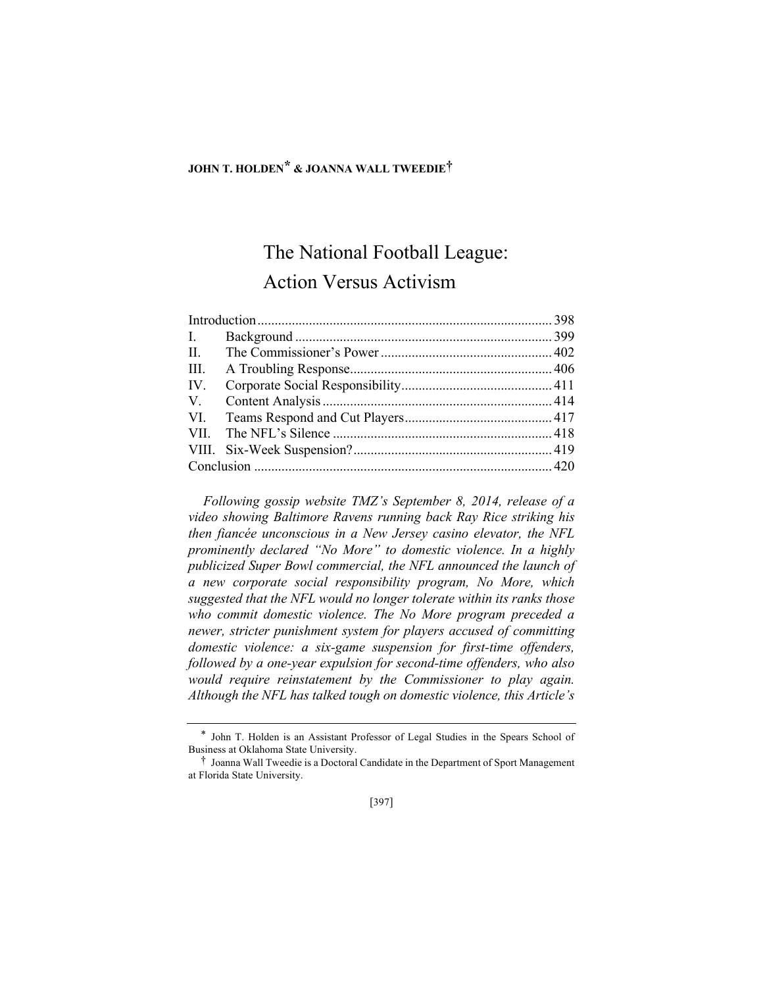# **JOHN T. HOLDEN\* & JOANNA WALL TWEEDIE†**

# The National Football League: Action Versus Activism

| III. |  |  |
|------|--|--|
| IV.  |  |  |
|      |  |  |
|      |  |  |
|      |  |  |
|      |  |  |
|      |  |  |

*Following gossip website TMZ's September 8, 2014, release of a video showing Baltimore Ravens running back Ray Rice striking his then fiancée unconscious in a New Jersey casino elevator, the NFL prominently declared "No More" to domestic violence. In a highly publicized Super Bowl commercial, the NFL announced the launch of a new corporate social responsibility program, No More, which suggested that the NFL would no longer tolerate within its ranks those who commit domestic violence. The No More program preceded a newer, stricter punishment system for players accused of committing domestic violence: a six-game suspension for first-time offenders, followed by a one-year expulsion for second-time offenders, who also would require reinstatement by the Commissioner to play again. Although the NFL has talked tough on domestic violence, this Article's* 

<sup>\*</sup> John T. Holden is an Assistant Professor of Legal Studies in the Spears School of Business at Oklahoma State University.

<sup>†</sup> Joanna Wall Tweedie is a Doctoral Candidate in the Department of Sport Management at Florida State University.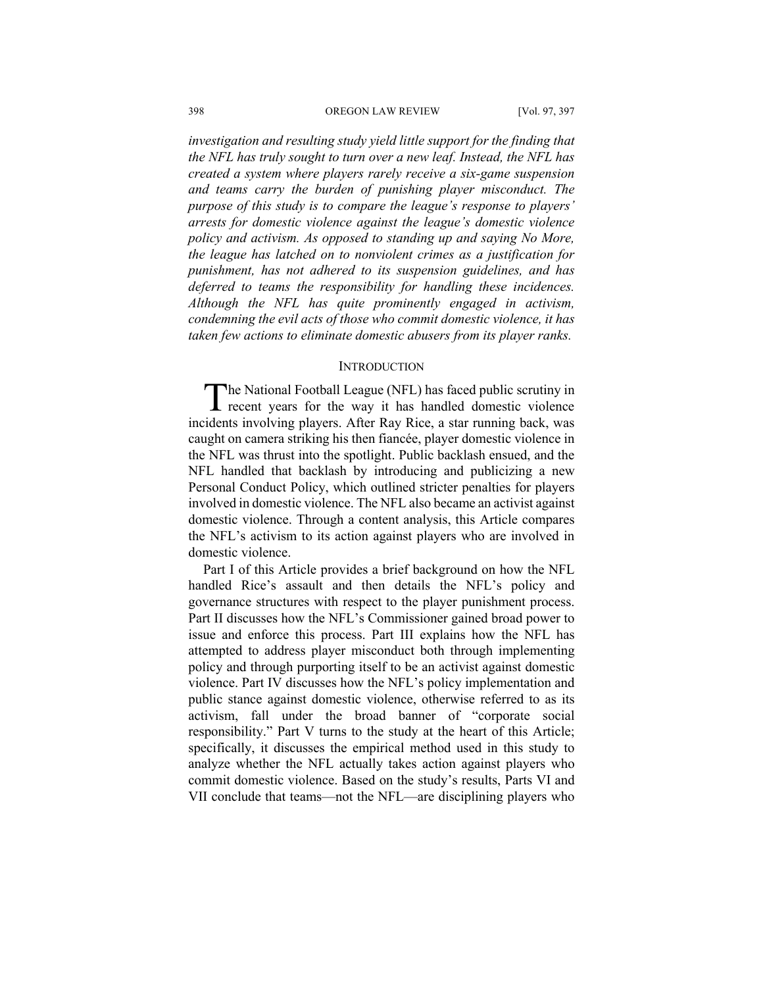#### 398 OREGON LAW REVIEW [Vol. 97, 397

*investigation and resulting study yield little support for the finding that the NFL has truly sought to turn over a new leaf. Instead, the NFL has created a system where players rarely receive a six-game suspension and teams carry the burden of punishing player misconduct. The purpose of this study is to compare the league's response to players' arrests for domestic violence against the league's domestic violence policy and activism. As opposed to standing up and saying No More, the league has latched on to nonviolent crimes as a justification for punishment, has not adhered to its suspension guidelines, and has deferred to teams the responsibility for handling these incidences. Although the NFL has quite prominently engaged in activism, condemning the evil acts of those who commit domestic violence, it has taken few actions to eliminate domestic abusers from its player ranks.*

## **INTRODUCTION**

he National Football League (NFL) has faced public scrutiny in The National Football League (NFL) has faced public scrutiny in recent years for the way it has handled domestic violence incidents involving players. After Ray Rice, a star running back, was caught on camera striking his then fiancée, player domestic violence in the NFL was thrust into the spotlight. Public backlash ensued, and the NFL handled that backlash by introducing and publicizing a new Personal Conduct Policy, which outlined stricter penalties for players involved in domestic violence. The NFL also became an activist against domestic violence. Through a content analysis, this Article compares the NFL's activism to its action against players who are involved in domestic violence.

Part I of this Article provides a brief background on how the NFL handled Rice's assault and then details the NFL's policy and governance structures with respect to the player punishment process. Part II discusses how the NFL's Commissioner gained broad power to issue and enforce this process. Part III explains how the NFL has attempted to address player misconduct both through implementing policy and through purporting itself to be an activist against domestic violence. Part IV discusses how the NFL's policy implementation and public stance against domestic violence, otherwise referred to as its activism, fall under the broad banner of "corporate social responsibility." Part V turns to the study at the heart of this Article; specifically, it discusses the empirical method used in this study to analyze whether the NFL actually takes action against players who commit domestic violence. Based on the study's results, Parts VI and VII conclude that teams—not the NFL—are disciplining players who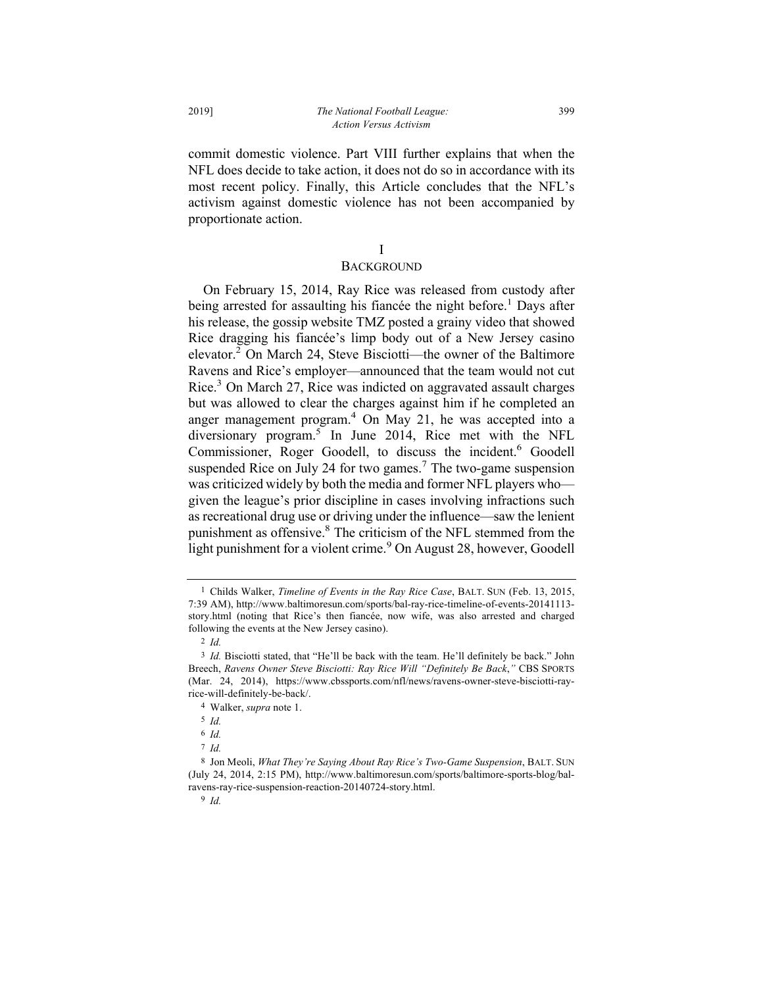commit domestic violence. Part VIII further explains that when the NFL does decide to take action, it does not do so in accordance with its most recent policy. Finally, this Article concludes that the NFL's activism against domestic violence has not been accompanied by proportionate action.

# I

# **BACKGROUND**

On February 15, 2014, Ray Rice was released from custody after being arrested for assaulting his fiancée the night before.<sup>1</sup> Days after his release, the gossip website TMZ posted a grainy video that showed Rice dragging his fiancée's limp body out of a New Jersey casino elevator.2 On March 24, Steve Bisciotti—the owner of the Baltimore Ravens and Rice's employer—announced that the team would not cut Rice.3 On March 27, Rice was indicted on aggravated assault charges but was allowed to clear the charges against him if he completed an anger management program. $4$  On May 21, he was accepted into a diversionary program.5 In June 2014, Rice met with the NFL Commissioner, Roger Goodell, to discuss the incident.<sup>6</sup> Goodell suspended Rice on July 24 for two games.<sup>7</sup> The two-game suspension was criticized widely by both the media and former NFL players who given the league's prior discipline in cases involving infractions such as recreational drug use or driving under the influence—saw the lenient punishment as offensive.<sup>8</sup> The criticism of the NFL stemmed from the light punishment for a violent crime.<sup>9</sup> On August 28, however, Goodell

<sup>1</sup> Childs Walker, *Timeline of Events in the Ray Rice Case*, BALT. SUN (Feb. 13, 2015, 7:39 AM), http://www.baltimoresun.com/sports/bal-ray-rice-timeline-of-events-20141113 story.html (noting that Rice's then fiancée, now wife, was also arrested and charged following the events at the New Jersey casino).

<sup>2</sup> *Id.*

<sup>3</sup> *Id.* Bisciotti stated, that "He'll be back with the team. He'll definitely be back." John Breech, *Ravens Owner Steve Bisciotti: Ray Rice Will "Definitely Be Back*,*"* CBS SPORTS (Mar. 24, 2014), https://www.cbssports.com/nfl/news/ravens-owner-steve-bisciotti-rayrice-will-definitely-be-back/.

<sup>4</sup> Walker, *supra* note 1.

<sup>5</sup> *Id.* 

<sup>6</sup> *Id.*

<sup>7</sup> *Id.*

<sup>8</sup> Jon Meoli, *What They're Saying About Ray Rice's Two-Game Suspension*, BALT. SUN (July 24, 2014, 2:15 PM), http://www.baltimoresun.com/sports/baltimore-sports-blog/balravens-ray-rice-suspension-reaction-20140724-story.html.

<sup>9</sup> *Id.*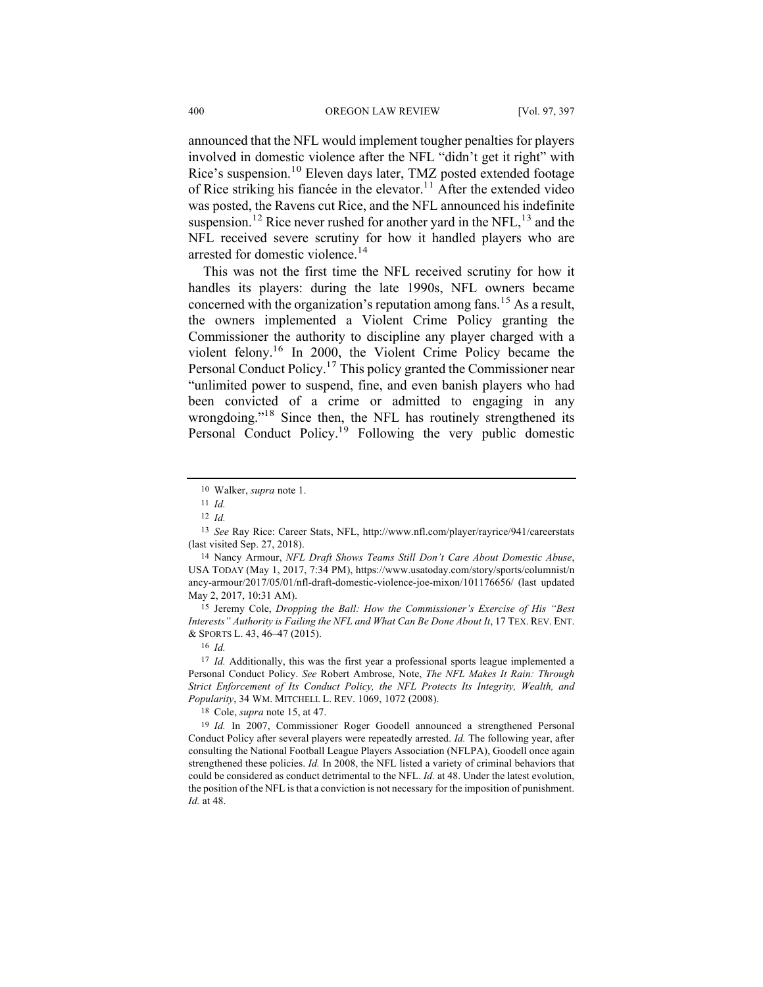announced that the NFL would implement tougher penalties for players involved in domestic violence after the NFL "didn't get it right" with Rice's suspension.<sup>10</sup> Eleven days later, TMZ posted extended footage of Rice striking his fiancée in the elevator.<sup>11</sup> After the extended video was posted, the Ravens cut Rice, and the NFL announced his indefinite suspension.<sup>12</sup> Rice never rushed for another yard in the NFL,  $^{13}$  and the NFL received severe scrutiny for how it handled players who are arrested for domestic violence.<sup>14</sup>

This was not the first time the NFL received scrutiny for how it handles its players: during the late 1990s, NFL owners became concerned with the organization's reputation among fans.<sup>15</sup> As a result, the owners implemented a Violent Crime Policy granting the Commissioner the authority to discipline any player charged with a violent felony.16 In 2000, the Violent Crime Policy became the Personal Conduct Policy.17 This policy granted the Commissioner near "unlimited power to suspend, fine, and even banish players who had been convicted of a crime or admitted to engaging in any wrongdoing."18 Since then, the NFL has routinely strengthened its Personal Conduct Policy.<sup>19</sup> Following the very public domestic

15 Jeremy Cole, *Dropping the Ball: How the Commissioner's Exercise of His "Best Interests" Authority is Failing the NFL and What Can Be Done About It*, 17 TEX. REV. ENT. & SPORTS L. 43, 46–47 (2015).

18 Cole, *supra* note 15, at 47.

<sup>10</sup> Walker, *supra* note 1.

<sup>11</sup> *Id.*

<sup>12</sup> *Id.*

<sup>13</sup> *See* Ray Rice: Career Stats, NFL, http://www.nfl.com/player/rayrice/941/careerstats (last visited Sep. 27, 2018).

<sup>14</sup> Nancy Armour, *NFL Draft Shows Teams Still Don't Care About Domestic Abuse*, USA TODAY (May 1, 2017, 7:34 PM), https://www.usatoday.com/story/sports/columnist/n ancy-armour/2017/05/01/nfl-draft-domestic-violence-joe-mixon/101176656/ (last updated May 2, 2017, 10:31 AM).

<sup>16</sup> *Id.*

<sup>17</sup> *Id.* Additionally, this was the first year a professional sports league implemented a Personal Conduct Policy. *See* Robert Ambrose, Note, *The NFL Makes It Rain: Through Strict Enforcement of Its Conduct Policy, the NFL Protects Its Integrity, Wealth, and Popularity*, 34 WM. MITCHELL L. REV. 1069, 1072 (2008).

<sup>19</sup> *Id.* In 2007, Commissioner Roger Goodell announced a strengthened Personal Conduct Policy after several players were repeatedly arrested. *Id.* The following year, after consulting the National Football League Players Association (NFLPA), Goodell once again strengthened these policies. *Id.* In 2008, the NFL listed a variety of criminal behaviors that could be considered as conduct detrimental to the NFL. *Id.* at 48. Under the latest evolution, the position of the NFL is that a conviction is not necessary for the imposition of punishment. *Id.* at 48.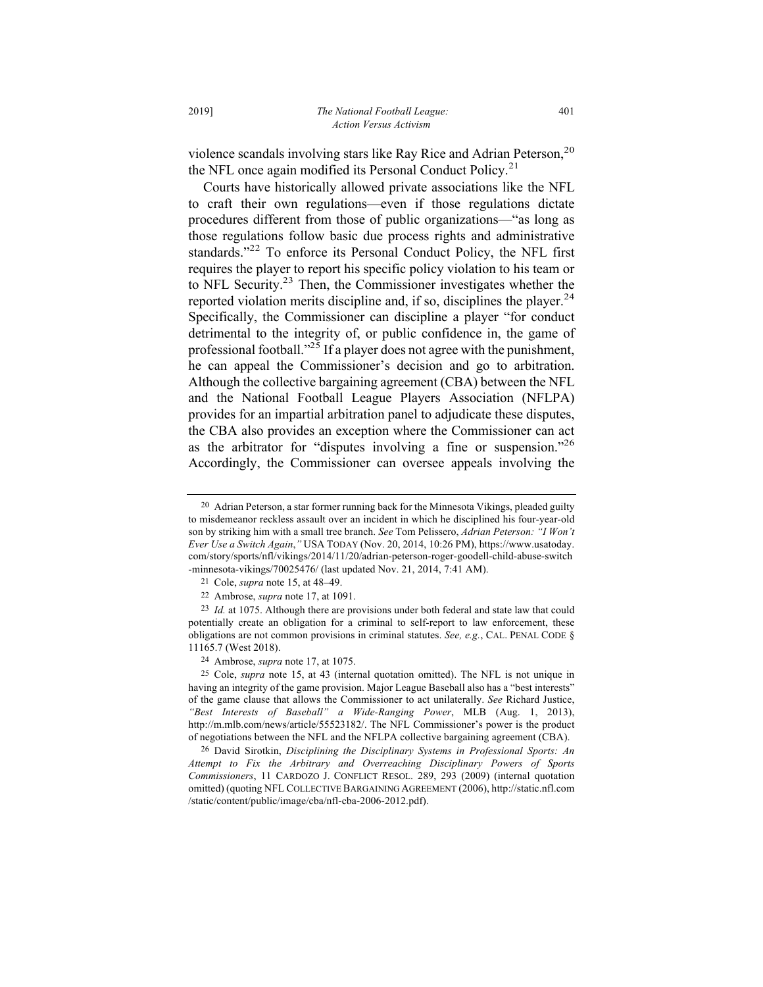violence scandals involving stars like Ray Rice and Adrian Peterson, $20$ the NFL once again modified its Personal Conduct Policy.<sup>21</sup>

Courts have historically allowed private associations like the NFL to craft their own regulations—even if those regulations dictate procedures different from those of public organizations—"as long as those regulations follow basic due process rights and administrative standards."<sup>22</sup> To enforce its Personal Conduct Policy, the NFL first requires the player to report his specific policy violation to his team or to NFL Security.23 Then, the Commissioner investigates whether the reported violation merits discipline and, if so, disciplines the player.<sup>24</sup> Specifically, the Commissioner can discipline a player "for conduct detrimental to the integrity of, or public confidence in, the game of professional football."<sup>25</sup> If a player does not agree with the punishment, he can appeal the Commissioner's decision and go to arbitration. Although the collective bargaining agreement (CBA) between the NFL and the National Football League Players Association (NFLPA) provides for an impartial arbitration panel to adjudicate these disputes, the CBA also provides an exception where the Commissioner can act as the arbitrator for "disputes involving a fine or suspension."26 Accordingly, the Commissioner can oversee appeals involving the

<sup>20</sup> Adrian Peterson, a star former running back for the Minnesota Vikings, pleaded guilty to misdemeanor reckless assault over an incident in which he disciplined his four-year-old son by striking him with a small tree branch. *See* Tom Pelissero, *Adrian Peterson: "I Won't Ever Use a Switch Again*,*"* USA TODAY (Nov. 20, 2014, 10:26 PM), https://www.usatoday. com/story/sports/nfl/vikings/2014/11/20/adrian-peterson-roger-goodell-child-abuse-switch -minnesota-vikings/70025476/ (last updated Nov. 21, 2014, 7:41 AM).

<sup>21</sup> Cole, *supra* note 15, at 48–49.

<sup>22</sup> Ambrose, *supra* note 17, at 1091.

<sup>23</sup> *Id.* at 1075. Although there are provisions under both federal and state law that could potentially create an obligation for a criminal to self-report to law enforcement, these obligations are not common provisions in criminal statutes. *See, e.g.*, CAL. PENAL CODE § 11165.7 (West 2018).

<sup>24</sup> Ambrose, *supra* note 17, at 1075.

<sup>25</sup> Cole, *supra* note 15, at 43 (internal quotation omitted). The NFL is not unique in having an integrity of the game provision. Major League Baseball also has a "best interests" of the game clause that allows the Commissioner to act unilaterally. *See* Richard Justice, *"Best Interests of Baseball" a Wide-Ranging Power*, MLB (Aug. 1, 2013), http://m.mlb.com/news/article/55523182/. The NFL Commissioner's power is the product of negotiations between the NFL and the NFLPA collective bargaining agreement (CBA).

<sup>26</sup> David Sirotkin, *Disciplining the Disciplinary Systems in Professional Sports: An Attempt to Fix the Arbitrary and Overreaching Disciplinary Powers of Sports Commissioners*, 11 CARDOZO J. CONFLICT RESOL. 289, 293 (2009) (internal quotation omitted) (quoting NFL COLLECTIVE BARGAINING AGREEMENT (2006), http://static.nfl.com /static/content/public/image/cba/nfl-cba-2006-2012.pdf).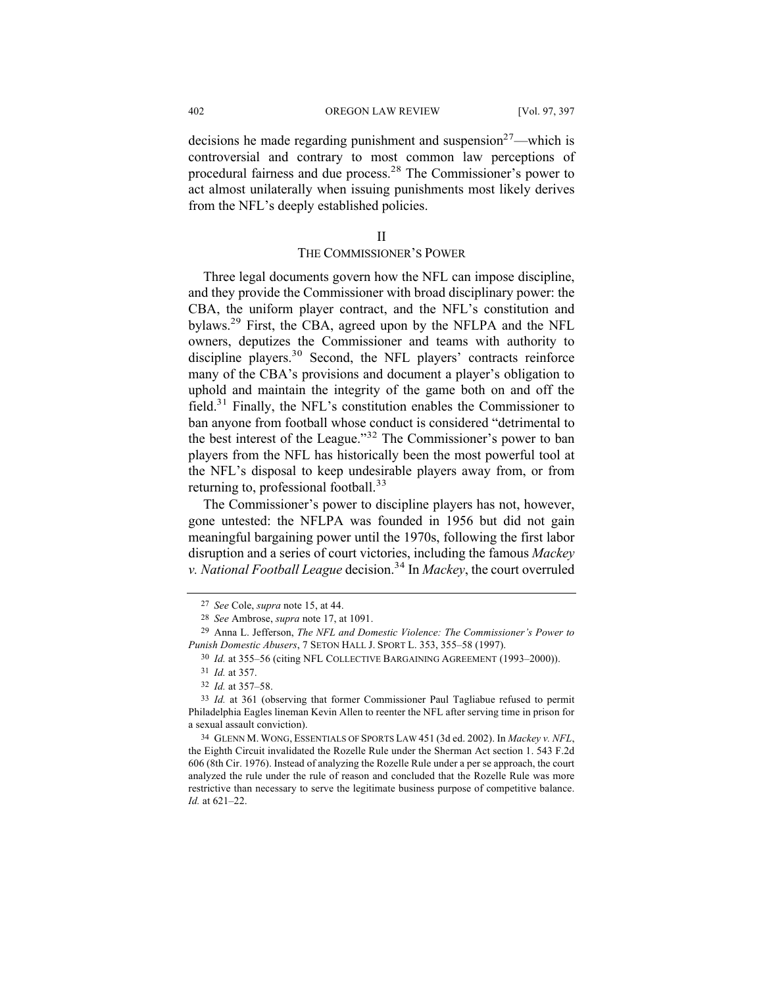decisions he made regarding punishment and suspension<sup>27</sup>—which is controversial and contrary to most common law perceptions of procedural fairness and due process.28 The Commissioner's power to act almost unilaterally when issuing punishments most likely derives from the NFL's deeply established policies.

# II

# THE COMMISSIONER'S POWER

Three legal documents govern how the NFL can impose discipline, and they provide the Commissioner with broad disciplinary power: the CBA, the uniform player contract, and the NFL's constitution and bylaws.29 First, the CBA, agreed upon by the NFLPA and the NFL owners, deputizes the Commissioner and teams with authority to discipline players.<sup>30</sup> Second, the NFL players' contracts reinforce many of the CBA's provisions and document a player's obligation to uphold and maintain the integrity of the game both on and off the field.31 Finally, the NFL's constitution enables the Commissioner to ban anyone from football whose conduct is considered "detrimental to the best interest of the League."<sup>32</sup> The Commissioner's power to ban players from the NFL has historically been the most powerful tool at the NFL's disposal to keep undesirable players away from, or from returning to, professional football.<sup>33</sup>

The Commissioner's power to discipline players has not, however, gone untested: the NFLPA was founded in 1956 but did not gain meaningful bargaining power until the 1970s, following the first labor disruption and a series of court victories, including the famous *Mackey v. National Football League* decision. <sup>34</sup> In *Mackey*, the court overruled

34 GLENN M. WONG, ESSENTIALS OF SPORTS LAW 451 (3d ed. 2002). In *Mackey v. NFL*, the Eighth Circuit invalidated the Rozelle Rule under the Sherman Act section 1. 543 F.2d 606 (8th Cir. 1976). Instead of analyzing the Rozelle Rule under a per se approach, the court analyzed the rule under the rule of reason and concluded that the Rozelle Rule was more restrictive than necessary to serve the legitimate business purpose of competitive balance. *Id.* at 621–22.

<sup>27</sup> *See* Cole, *supra* note 15, at 44.

<sup>28</sup> *See* Ambrose, *supra* note 17, at 1091.

<sup>29</sup> Anna L. Jefferson, *The NFL and Domestic Violence: The Commissioner's Power to Punish Domestic Abusers*, 7 SETON HALL J. SPORT L. 353, 355–58 (1997).

<sup>30</sup> *Id.* at 355–56 (citing NFL COLLECTIVE BARGAINING AGREEMENT (1993–2000)).

<sup>31</sup> *Id.* at 357.

<sup>32</sup> *Id.* at 357–58.

<sup>33</sup> *Id.* at 361 (observing that former Commissioner Paul Tagliabue refused to permit Philadelphia Eagles lineman Kevin Allen to reenter the NFL after serving time in prison for a sexual assault conviction).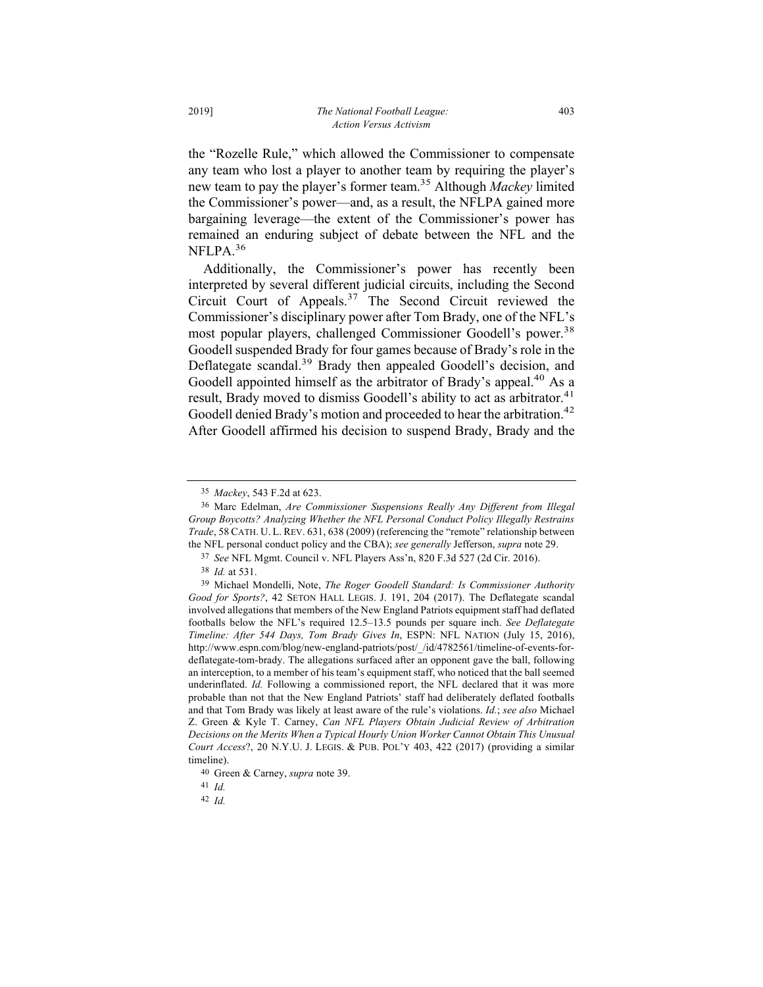the "Rozelle Rule," which allowed the Commissioner to compensate any team who lost a player to another team by requiring the player's new team to pay the player's former team. <sup>35</sup> Although *Mackey* limited the Commissioner's power—and, as a result, the NFLPA gained more bargaining leverage—the extent of the Commissioner's power has remained an enduring subject of debate between the NFL and the NFLPA.<sup>36</sup>

Additionally, the Commissioner's power has recently been interpreted by several different judicial circuits, including the Second Circuit Court of Appeals.<sup>37</sup> The Second Circuit reviewed the Commissioner's disciplinary power after Tom Brady, one of the NFL's most popular players, challenged Commissioner Goodell's power.<sup>38</sup> Goodell suspended Brady for four games because of Brady's role in the Deflategate scandal.<sup>39</sup> Brady then appealed Goodell's decision, and Goodell appointed himself as the arbitrator of Brady's appeal.<sup>40</sup> As a result, Brady moved to dismiss Goodell's ability to act as arbitrator.<sup>41</sup> Goodell denied Brady's motion and proceeded to hear the arbitration.<sup>42</sup> After Goodell affirmed his decision to suspend Brady, Brady and the

<sup>35</sup> *Mackey*, 543 F.2d at 623.

<sup>36</sup> Marc Edelman, *Are Commissioner Suspensions Really Any Different from Illegal Group Boycotts? Analyzing Whether the NFL Personal Conduct Policy Illegally Restrains Trade*, 58 CATH. U. L. REV. 631, 638 (2009) (referencing the "remote" relationship between the NFL personal conduct policy and the CBA); *see generally* Jefferson, *supra* note 29.

<sup>37</sup> *See* NFL Mgmt. Council v. NFL Players Ass'n, 820 F.3d 527 (2d Cir. 2016).

<sup>38</sup> *Id.* at 531.

<sup>39</sup> Michael Mondelli, Note, *The Roger Goodell Standard: Is Commissioner Authority Good for Sports?*, 42 SETON HALL LEGIS. J. 191, 204 (2017). The Deflategate scandal involved allegations that members of the New England Patriots equipment staff had deflated footballs below the NFL's required 12.5–13.5 pounds per square inch. *See Deflategate Timeline: After 544 Days, Tom Brady Gives In*, ESPN: NFL NATION (July 15, 2016), http://www.espn.com/blog/new-england-patriots/post/\_/id/4782561/timeline-of-events-fordeflategate-tom-brady. The allegations surfaced after an opponent gave the ball, following an interception, to a member of his team's equipment staff, who noticed that the ball seemed underinflated. *Id.* Following a commissioned report, the NFL declared that it was more probable than not that the New England Patriots' staff had deliberately deflated footballs and that Tom Brady was likely at least aware of the rule's violations. *Id.*; *see also* Michael Z. Green & Kyle T. Carney, *Can NFL Players Obtain Judicial Review of Arbitration Decisions on the Merits When a Typical Hourly Union Worker Cannot Obtain This Unusual Court Access*?, 20 N.Y.U. J. LEGIS. & PUB. POL'Y 403, 422 (2017) (providing a similar timeline).

<sup>40</sup> Green & Carney, *supra* note 39.

<sup>41</sup> *Id.*

<sup>42</sup> *Id.*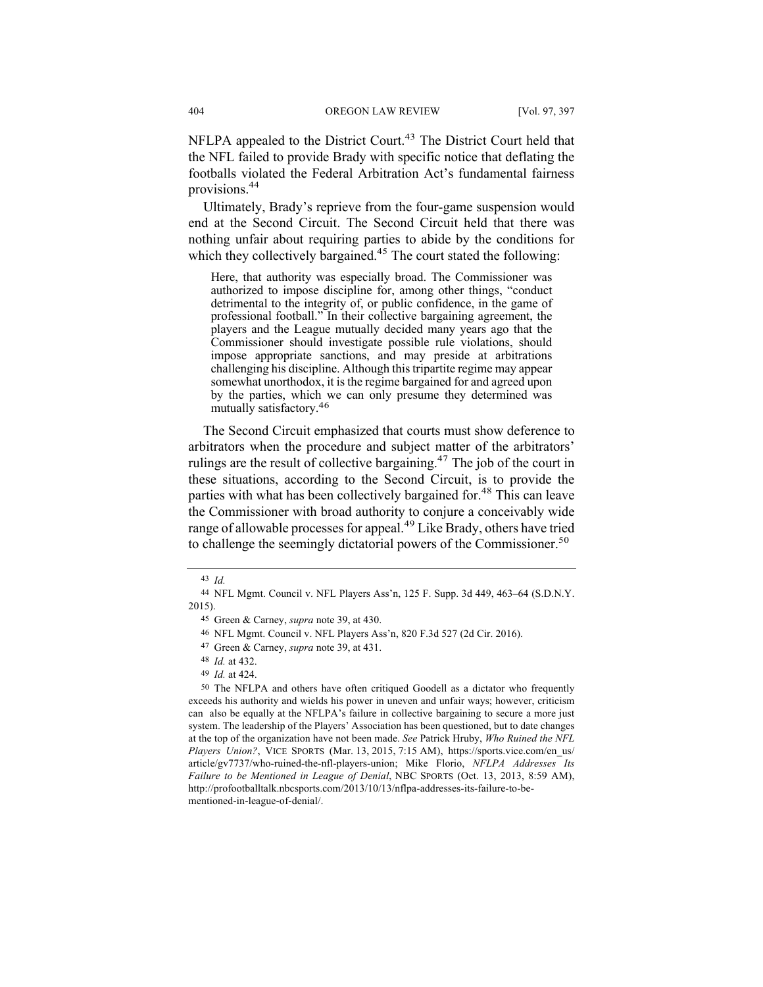NFLPA appealed to the District Court.<sup>43</sup> The District Court held that the NFL failed to provide Brady with specific notice that deflating the footballs violated the Federal Arbitration Act's fundamental fairness provisions.44

Ultimately, Brady's reprieve from the four-game suspension would end at the Second Circuit. The Second Circuit held that there was nothing unfair about requiring parties to abide by the conditions for which they collectively bargained.<sup>45</sup> The court stated the following:

Here, that authority was especially broad. The Commissioner was authorized to impose discipline for, among other things, "conduct detrimental to the integrity of, or public confidence, in the game of professional football." In their collective bargaining agreement, the players and the League mutually decided many years ago that the Commissioner should investigate possible rule violations, should impose appropriate sanctions, and may preside at arbitrations challenging his discipline. Although this tripartite regime may appear somewhat unorthodox, it is the regime bargained for and agreed upon by the parties, which we can only presume they determined was mutually satisfactory.46

The Second Circuit emphasized that courts must show deference to arbitrators when the procedure and subject matter of the arbitrators' rulings are the result of collective bargaining.<sup>47</sup> The job of the court in these situations, according to the Second Circuit, is to provide the parties with what has been collectively bargained for.<sup>48</sup> This can leave the Commissioner with broad authority to conjure a conceivably wide range of allowable processes for appeal.<sup>49</sup> Like Brady, others have tried to challenge the seemingly dictatorial powers of the Commissioner.<sup>50</sup>

49 *Id.* at 424.

<sup>43</sup> *Id.*

<sup>44</sup> NFL Mgmt. Council v. NFL Players Ass'n, 125 F. Supp. 3d 449, 463–64 (S.D.N.Y. 2015).

<sup>45</sup> Green & Carney, *supra* note 39, at 430.

<sup>46</sup> NFL Mgmt. Council v. NFL Players Ass'n, 820 F.3d 527 (2d Cir. 2016).

<sup>47</sup> Green & Carney, *supra* note 39, at 431.

<sup>48</sup> *Id.* at 432.

<sup>50</sup> The NFLPA and others have often critiqued Goodell as a dictator who frequently exceeds his authority and wields his power in uneven and unfair ways; however, criticism can also be equally at the NFLPA's failure in collective bargaining to secure a more just system. The leadership of the Players' Association has been questioned, but to date changes at the top of the organization have not been made. *See* Patrick Hruby, *Who Ruined the NFL Players Union?*, VICE SPORTS (Mar. 13, 2015, 7:15 AM), https://sports.vice.com/en\_us/ article/gv7737/who-ruined-the-nfl-players-union; Mike Florio, *NFLPA Addresses Its Failure to be Mentioned in League of Denial*, NBC SPORTS (Oct. 13, 2013, 8:59 AM), http://profootballtalk.nbcsports.com/2013/10/13/nflpa-addresses-its-failure-to-bementioned-in-league-of-denial/.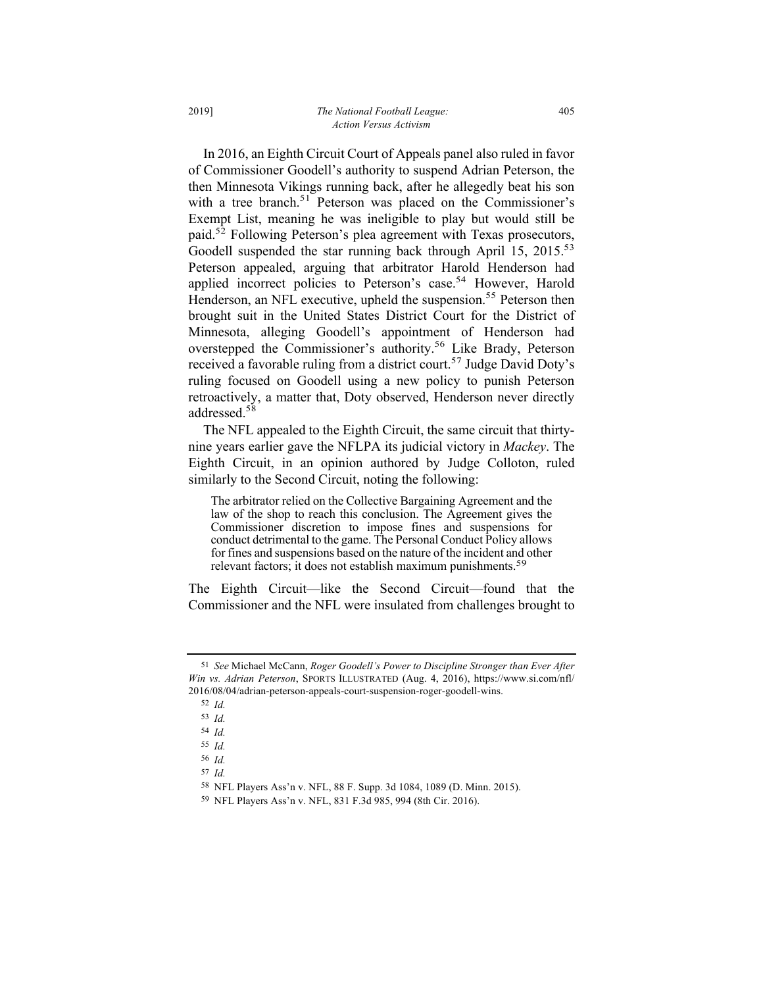In 2016, an Eighth Circuit Court of Appeals panel also ruled in favor of Commissioner Goodell's authority to suspend Adrian Peterson, the then Minnesota Vikings running back, after he allegedly beat his son

with a tree branch.<sup>51</sup> Peterson was placed on the Commissioner's Exempt List, meaning he was ineligible to play but would still be paid.52 Following Peterson's plea agreement with Texas prosecutors, Goodell suspended the star running back through April 15, 2015.<sup>53</sup> Peterson appealed, arguing that arbitrator Harold Henderson had applied incorrect policies to Peterson's case.<sup>54</sup> However, Harold Henderson, an NFL executive, upheld the suspension.<sup>55</sup> Peterson then brought suit in the United States District Court for the District of Minnesota, alleging Goodell's appointment of Henderson had overstepped the Commissioner's authority.<sup>56</sup> Like Brady, Peterson received a favorable ruling from a district court.<sup>57</sup> Judge David Doty's ruling focused on Goodell using a new policy to punish Peterson retroactively, a matter that, Doty observed, Henderson never directly addressed.58

The NFL appealed to the Eighth Circuit, the same circuit that thirtynine years earlier gave the NFLPA its judicial victory in *Mackey*. The Eighth Circuit, in an opinion authored by Judge Colloton, ruled similarly to the Second Circuit, noting the following:

The arbitrator relied on the Collective Bargaining Agreement and the law of the shop to reach this conclusion. The Agreement gives the Commissioner discretion to impose fines and suspensions for conduct detrimental to the game. The Personal Conduct Policy allows for fines and suspensions based on the nature of the incident and other relevant factors; it does not establish maximum punishments.<sup>59</sup>

The Eighth Circuit—like the Second Circuit—found that the Commissioner and the NFL were insulated from challenges brought to

<sup>51</sup> *See* Michael McCann, *Roger Goodell's Power to Discipline Stronger than Ever After Win vs. Adrian Peterson*, SPORTS ILLUSTRATED (Aug. 4, 2016), https://www.si.com/nfl/ 2016/08/04/adrian-peterson-appeals-court-suspension-roger-goodell-wins.

<sup>52</sup> *Id.*

<sup>53</sup> *Id.*

<sup>54</sup> *Id.*

<sup>55</sup> *Id.*

<sup>56</sup> *Id.*

<sup>57</sup> *Id.*

<sup>58</sup> NFL Players Ass'n v. NFL, 88 F. Supp. 3d 1084, 1089 (D. Minn. 2015).

<sup>59</sup> NFL Players Ass'n v. NFL, 831 F.3d 985, 994 (8th Cir. 2016).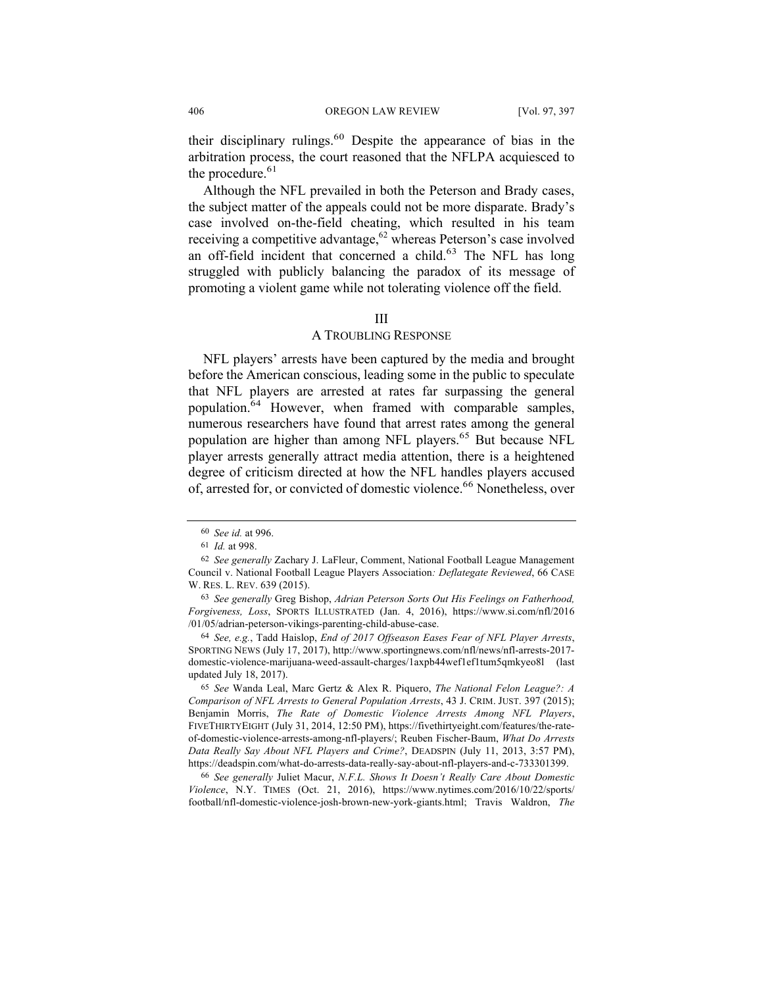their disciplinary rulings.<sup>60</sup> Despite the appearance of bias in the arbitration process, the court reasoned that the NFLPA acquiesced to the procedure. $61$ 

Although the NFL prevailed in both the Peterson and Brady cases, the subject matter of the appeals could not be more disparate. Brady's case involved on-the-field cheating, which resulted in his team receiving a competitive advantage,  $62$  whereas Peterson's case involved an off-field incident that concerned a child.<sup>63</sup> The NFL has long struggled with publicly balancing the paradox of its message of promoting a violent game while not tolerating violence off the field.

#### III

# A TROUBLING RESPONSE

NFL players' arrests have been captured by the media and brought before the American conscious, leading some in the public to speculate that NFL players are arrested at rates far surpassing the general population.<sup>64</sup> However, when framed with comparable samples, numerous researchers have found that arrest rates among the general population are higher than among NFL players.<sup>65</sup> But because NFL player arrests generally attract media attention, there is a heightened degree of criticism directed at how the NFL handles players accused of, arrested for, or convicted of domestic violence.<sup>66</sup> Nonetheless, over

66 *See generally* Juliet Macur, *N.F.L. Shows It Doesn't Really Care About Domestic Violence*, N.Y. TIMES (Oct. 21, 2016), https://www.nytimes.com/2016/10/22/sports/ football/nfl-domestic-violence-josh-brown-new-york-giants.html; Travis Waldron, *The* 

<sup>60</sup> *See id.* at 996.

<sup>61</sup> *Id.* at 998.

<sup>62</sup> *See generally* Zachary J. LaFleur, Comment, National Football League Management Council v. National Football League Players Association*: Deflategate Reviewed*, 66 CASE W. RES. L. REV. 639 (2015).

<sup>63</sup> *See generally* Greg Bishop, *Adrian Peterson Sorts Out His Feelings on Fatherhood, Forgiveness, Loss*, SPORTS ILLUSTRATED (Jan. 4, 2016), https://www.si.com/nfl/2016 /01/05/adrian-peterson-vikings-parenting-child-abuse-case.

<sup>64</sup> *See, e.g.*, Tadd Haislop, *End of 2017 Offseason Eases Fear of NFL Player Arrests*, SPORTING NEWS (July 17, 2017), http://www.sportingnews.com/nfl/news/nfl-arrests-2017 domestic-violence-marijuana-weed-assault-charges/1axpb44wef1ef1tum5qmkyeo8l (last updated July 18, 2017).

<sup>65</sup> *See* Wanda Leal, Marc Gertz & Alex R. Piquero, *The National Felon League?: A Comparison of NFL Arrests to General Population Arrests*, 43 J. CRIM. JUST. 397 (2015); Benjamin Morris, *The Rate of Domestic Violence Arrests Among NFL Players*, FIVETHIRTYEIGHT (July 31, 2014, 12:50 PM), https://fivethirtyeight.com/features/the-rateof-domestic-violence-arrests-among-nfl-players/; Reuben Fischer-Baum, *What Do Arrests Data Really Say About NFL Players and Crime?*, DEADSPIN (July 11, 2013, 3:57 PM), https://deadspin.com/what-do-arrests-data-really-say-about-nfl-players-and-c-733301399.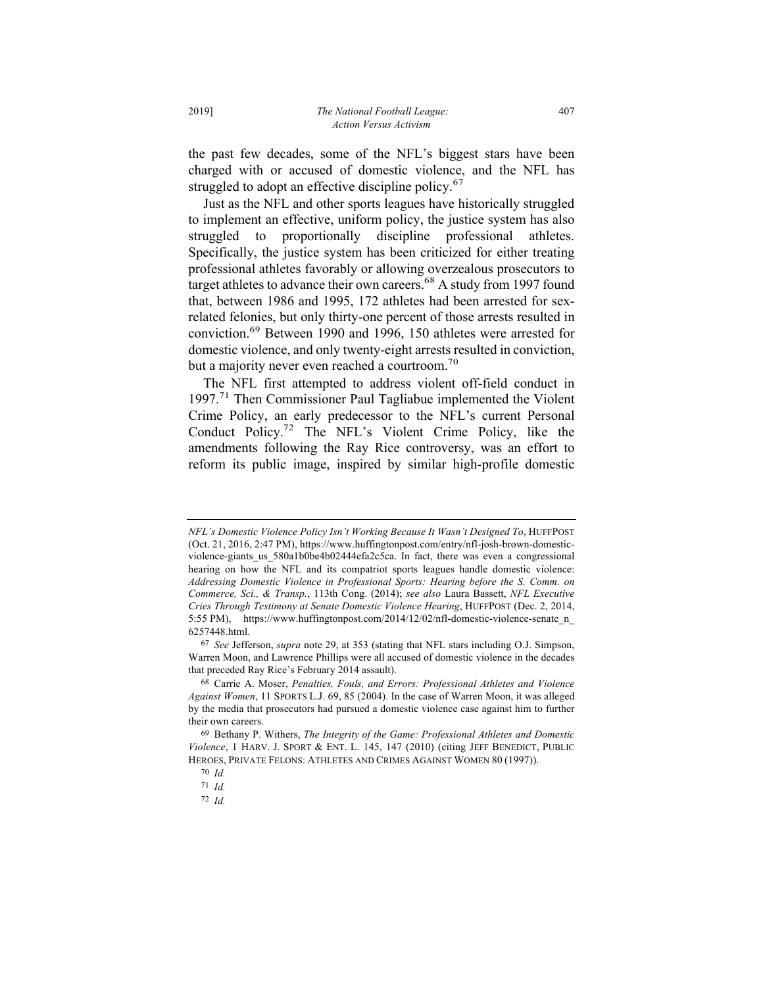the past few decades, some of the NFL's biggest stars have been charged with or accused of domestic violence, and the NFL has struggled to adopt an effective discipline policy.<sup>67</sup>

Just as the NFL and other sports leagues have historically struggled to implement an effective, uniform policy, the justice system has also struggled to proportionally discipline professional athletes. Specifically, the justice system has been criticized for either treating professional athletes favorably or allowing overzealous prosecutors to target athletes to advance their own careers.<sup>68</sup> A study from 1997 found that, between 1986 and 1995, 172 athletes had been arrested for sexrelated felonies, but only thirty-one percent of those arrests resulted in conviction.<sup>69</sup> Between 1990 and 1996, 150 athletes were arrested for domestic violence, and only twenty-eight arrests resulted in conviction, but a majority never even reached a courtroom.<sup>70</sup>

The NFL first attempted to address violent off-field conduct in 1997.71 Then Commissioner Paul Tagliabue implemented the Violent Crime Policy, an early predecessor to the NFL's current Personal Conduct Policy.72 The NFL's Violent Crime Policy, like the amendments following the Ray Rice controversy, was an effort to reform its public image, inspired by similar high-profile domestic

72 *Id.*

*NFL's Domestic Violence Policy Isn't Working Because It Wasn't Designed To*, HUFFPOST (Oct. 21, 2016, 2:47 PM), https://www.huffingtonpost.com/entry/nfl-josh-brown-domesticviolence-giants\_us\_580a1b0be4b02444efa2c5ca. In fact, there was even a congressional hearing on how the NFL and its compatriot sports leagues handle domestic violence: *Addressing Domestic Violence in Professional Sports: Hearing before the S. Comm. on Commerce, Sci., & Transp.*, 113th Cong. (2014); *see also* Laura Bassett, *NFL Executive Cries Through Testimony at Senate Domestic Violence Hearing*, HUFFPOST (Dec. 2, 2014, 5:55 PM), https://www.huffingtonpost.com/2014/12/02/nfl-domestic-violence-senate\_n\_ 6257448.html.

<sup>67</sup> *See* Jefferson, *supra* note 29, at 353 (stating that NFL stars including O.J. Simpson, Warren Moon, and Lawrence Phillips were all accused of domestic violence in the decades that preceded Ray Rice's February 2014 assault).

<sup>68</sup> Carrie A. Moser, *Penalties, Fouls, and Errors: Professional Athletes and Violence Against Women*, 11 SPORTS L.J. 69, 85 (2004). In the case of Warren Moon, it was alleged by the media that prosecutors had pursued a domestic violence case against him to further their own careers.

<sup>69</sup> Bethany P. Withers, *The Integrity of the Game: Professional Athletes and Domestic Violence*, 1 HARV. J. SPORT & ENT. L. 145, 147 (2010) (citing JEFF BENEDICT, PUBLIC HEROES, PRIVATE FELONS: ATHLETES AND CRIMES AGAINST WOMEN 80 (1997)).

<sup>70</sup> *Id.*

<sup>71</sup> *Id.*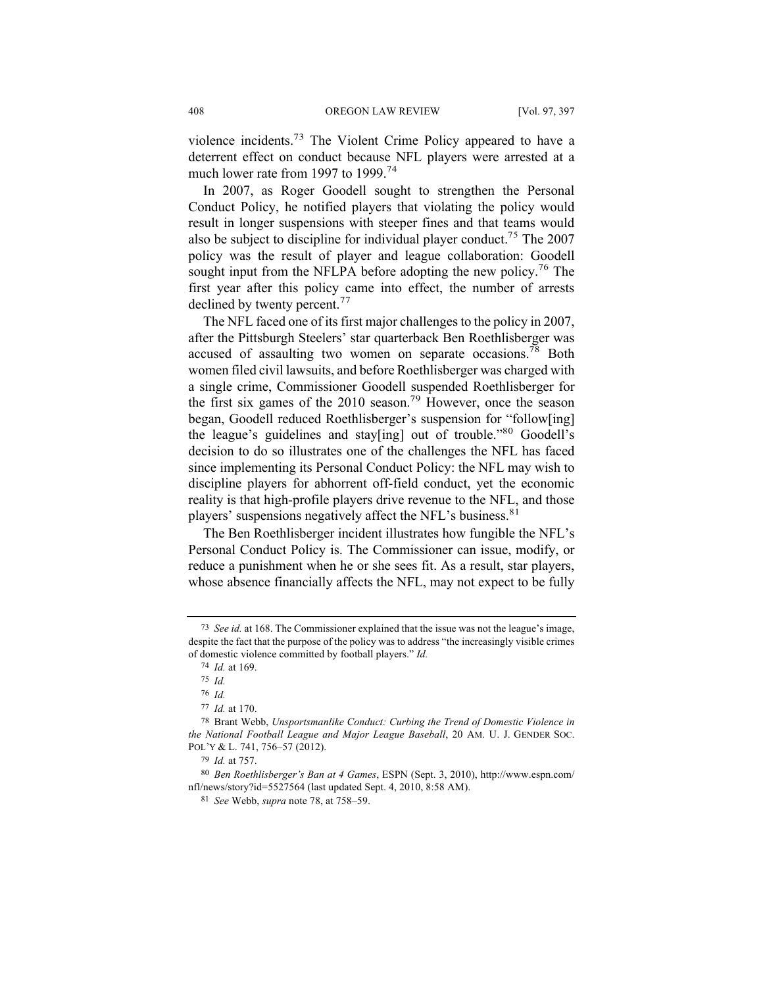violence incidents.<sup>73</sup> The Violent Crime Policy appeared to have a deterrent effect on conduct because NFL players were arrested at a much lower rate from 1997 to 1999.<sup>74</sup>

In 2007, as Roger Goodell sought to strengthen the Personal Conduct Policy, he notified players that violating the policy would result in longer suspensions with steeper fines and that teams would also be subject to discipline for individual player conduct.<sup>75</sup> The 2007 policy was the result of player and league collaboration: Goodell sought input from the NFLPA before adopting the new policy.<sup>76</sup> The first year after this policy came into effect, the number of arrests declined by twenty percent.<sup>77</sup>

The NFL faced one of its first major challenges to the policy in 2007, after the Pittsburgh Steelers' star quarterback Ben Roethlisberger was accused of assaulting two women on separate occasions.<sup>78</sup> Both women filed civil lawsuits, and before Roethlisberger was charged with a single crime, Commissioner Goodell suspended Roethlisberger for the first six games of the 2010 season.<sup>79</sup> However, once the season began, Goodell reduced Roethlisberger's suspension for "follow[ing] the league's guidelines and stay[ing] out of trouble."<sup>80</sup> Goodell's decision to do so illustrates one of the challenges the NFL has faced since implementing its Personal Conduct Policy: the NFL may wish to discipline players for abhorrent off-field conduct, yet the economic reality is that high-profile players drive revenue to the NFL, and those players' suspensions negatively affect the NFL's business.<sup>81</sup>

The Ben Roethlisberger incident illustrates how fungible the NFL's Personal Conduct Policy is. The Commissioner can issue, modify, or reduce a punishment when he or she sees fit. As a result, star players, whose absence financially affects the NFL, may not expect to be fully

<sup>73</sup> *See id.* at 168. The Commissioner explained that the issue was not the league's image, despite the fact that the purpose of the policy was to address "the increasingly visible crimes of domestic violence committed by football players." *Id.*

<sup>74</sup> *Id.* at 169.

<sup>75</sup> *Id.*

<sup>76</sup> *Id.*

<sup>77</sup> *Id.* at 170.

<sup>78</sup> Brant Webb, *Unsportsmanlike Conduct: Curbing the Trend of Domestic Violence in the National Football League and Major League Baseball*, 20 AM. U. J. GENDER SOC. POL'Y & L. 741, 756–57 (2012).

<sup>79</sup> *Id.* at 757.

<sup>80</sup> *Ben Roethlisberger's Ban at 4 Games*, ESPN (Sept. 3, 2010), http://www.espn.com/ nfl/news/story?id=5527564 (last updated Sept. 4, 2010, 8:58 AM).

<sup>81</sup> *See* Webb, *supra* note 78, at 758–59.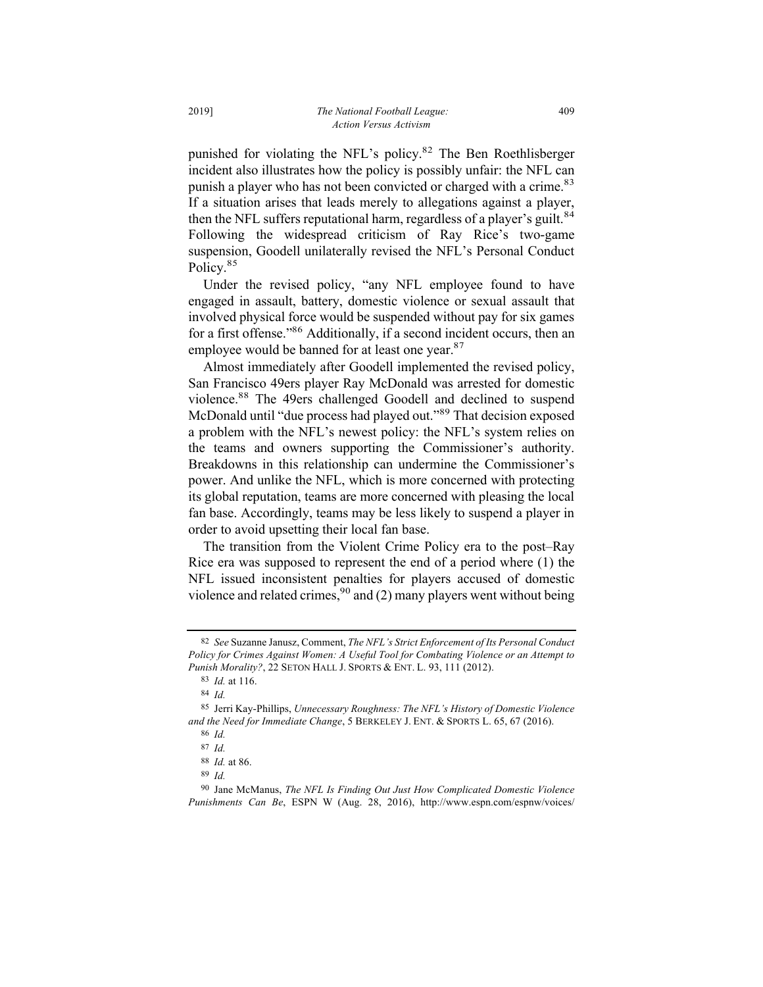punished for violating the NFL's policy.<sup>82</sup> The Ben Roethlisberger incident also illustrates how the policy is possibly unfair: the NFL can punish a player who has not been convicted or charged with a crime.<sup>83</sup> If a situation arises that leads merely to allegations against a player, then the NFL suffers reputational harm, regardless of a player's guilt.<sup>84</sup> Following the widespread criticism of Ray Rice's two-game suspension, Goodell unilaterally revised the NFL's Personal Conduct Policy.<sup>85</sup>

Under the revised policy, "any NFL employee found to have engaged in assault, battery, domestic violence or sexual assault that involved physical force would be suspended without pay for six games for a first offense."86 Additionally, if a second incident occurs, then an employee would be banned for at least one year.<sup>87</sup>

Almost immediately after Goodell implemented the revised policy, San Francisco 49ers player Ray McDonald was arrested for domestic violence.<sup>88</sup> The 49ers challenged Goodell and declined to suspend McDonald until "due process had played out."<sup>89</sup> That decision exposed a problem with the NFL's newest policy: the NFL's system relies on the teams and owners supporting the Commissioner's authority. Breakdowns in this relationship can undermine the Commissioner's power. And unlike the NFL, which is more concerned with protecting its global reputation, teams are more concerned with pleasing the local fan base. Accordingly, teams may be less likely to suspend a player in order to avoid upsetting their local fan base.

The transition from the Violent Crime Policy era to the post–Ray Rice era was supposed to represent the end of a period where (1) the NFL issued inconsistent penalties for players accused of domestic violence and related crimes,  $90$  and (2) many players went without being

<sup>82</sup> *See* Suzanne Janusz, Comment, *The NFL's Strict Enforcement of Its Personal Conduct Policy for Crimes Against Women: A Useful Tool for Combating Violence or an Attempt to Punish Morality?*, 22 SETON HALL J. SPORTS & ENT. L. 93, 111 (2012).

<sup>83</sup> *Id.* at 116.

<sup>84</sup> *Id.*

<sup>85</sup> Jerri Kay-Phillips, *Unnecessary Roughness: The NFL's History of Domestic Violence and the Need for Immediate Change*, 5 BERKELEY J. ENT. & SPORTS L. 65, 67 (2016). 86 *Id.*

<sup>87</sup> *Id.*

<sup>88</sup> *Id.* at 86.

<sup>89</sup> *Id.*

<sup>90</sup> Jane McManus, *The NFL Is Finding Out Just How Complicated Domestic Violence Punishments Can Be*, ESPN W (Aug. 28, 2016), http://www.espn.com/espnw/voices/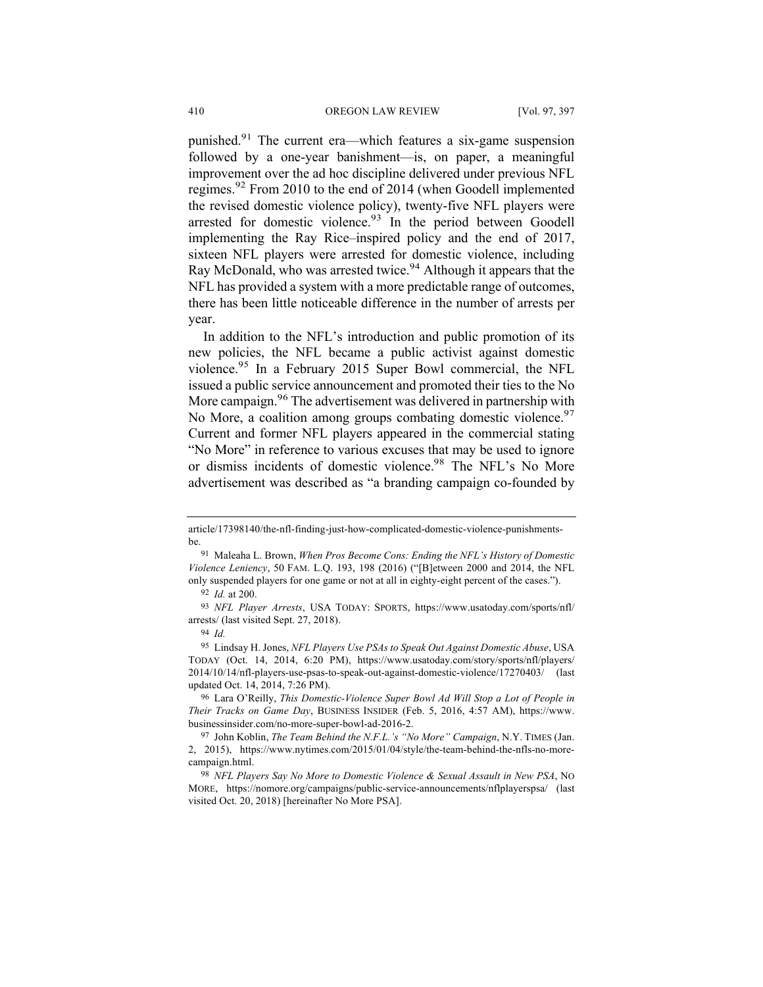punished.<sup>91</sup> The current era—which features a six-game suspension followed by a one-year banishment—is, on paper, a meaningful improvement over the ad hoc discipline delivered under previous NFL regimes.<sup>92</sup> From 2010 to the end of 2014 (when Goodell implemented the revised domestic violence policy), twenty-five NFL players were arrested for domestic violence. $93$  In the period between Goodell implementing the Ray Rice–inspired policy and the end of 2017, sixteen NFL players were arrested for domestic violence, including Ray McDonald, who was arrested twice.<sup>94</sup> Although it appears that the NFL has provided a system with a more predictable range of outcomes, there has been little noticeable difference in the number of arrests per year.

In addition to the NFL's introduction and public promotion of its new policies, the NFL became a public activist against domestic violence.<sup>95</sup> In a February 2015 Super Bowl commercial, the NFL issued a public service announcement and promoted their ties to the No More campaign.<sup>96</sup> The advertisement was delivered in partnership with No More, a coalition among groups combating domestic violence.<sup>97</sup> Current and former NFL players appeared in the commercial stating "No More" in reference to various excuses that may be used to ignore or dismiss incidents of domestic violence.<sup>98</sup> The NFL's No More advertisement was described as "a branding campaign co-founded by

96 Lara O'Reilly, *This Domestic-Violence Super Bowl Ad Will Stop a Lot of People in Their Tracks on Game Day*, BUSINESS INSIDER (Feb. 5, 2016, 4:57 AM), https://www. businessinsider.com/no-more-super-bowl-ad-2016-2.

article/17398140/the-nfl-finding-just-how-complicated-domestic-violence-punishmentsbe.

<sup>91</sup> Maleaha L. Brown, *When Pros Become Cons: Ending the NFL's History of Domestic Violence Leniency*, 50 FAM. L.Q. 193, 198 (2016) ("[B]etween 2000 and 2014, the NFL only suspended players for one game or not at all in eighty-eight percent of the cases.").

<sup>92</sup> *Id.* at 200.

<sup>93</sup> *NFL Player Arrests*, USA TODAY: SPORTS, https://www.usatoday.com/sports/nfl/ arrests/ (last visited Sept. 27, 2018).

<sup>94</sup> *Id.*

<sup>95</sup> Lindsay H. Jones, *NFL Players Use PSAs to Speak Out Against Domestic Abuse*, USA TODAY (Oct. 14, 2014, 6:20 PM), https://www.usatoday.com/story/sports/nfl/players/ 2014/10/14/nfl-players-use-psas-to-speak-out-against-domestic-violence/17270403/ (last updated Oct. 14, 2014, 7:26 PM).

<sup>97</sup> John Koblin, *The Team Behind the N.F.L.'s "No More" Campaign*, N.Y. TIMES (Jan. 2, 2015), https://www.nytimes.com/2015/01/04/style/the-team-behind-the-nfls-no-morecampaign.html.

<sup>98</sup> *NFL Players Say No More to Domestic Violence & Sexual Assault in New PSA*, NO MORE, https://nomore.org/campaigns/public-service-announcements/nflplayerspsa/ (last visited Oct. 20, 2018) [hereinafter No More PSA].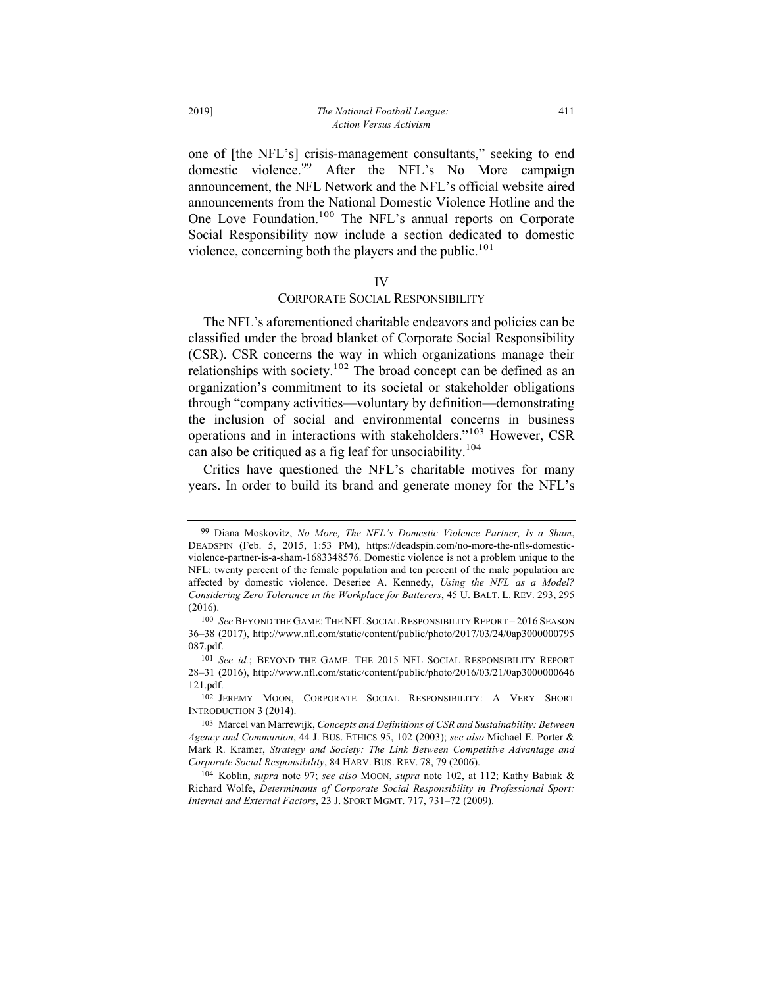one of [the NFL's] crisis-management consultants," seeking to end domestic violence.<sup>99</sup> After the NFL's No More campaign announcement, the NFL Network and the NFL's official website aired announcements from the National Domestic Violence Hotline and the One Love Foundation.<sup>100</sup> The NFL's annual reports on Corporate Social Responsibility now include a section dedicated to domestic violence, concerning both the players and the public.<sup>101</sup>

#### IV

#### CORPORATE SOCIAL RESPONSIBILITY

The NFL's aforementioned charitable endeavors and policies can be classified under the broad blanket of Corporate Social Responsibility (CSR). CSR concerns the way in which organizations manage their relationships with society.<sup>102</sup> The broad concept can be defined as an organization's commitment to its societal or stakeholder obligations through "company activities—voluntary by definition—demonstrating the inclusion of social and environmental concerns in business operations and in interactions with stakeholders."<sup>103</sup> However, CSR can also be critiqued as a fig leaf for unsociability.<sup>104</sup>

Critics have questioned the NFL's charitable motives for many years. In order to build its brand and generate money for the NFL's

<sup>99</sup> Diana Moskovitz, *No More, The NFL's Domestic Violence Partner, Is a Sham*, DEADSPIN (Feb. 5, 2015, 1:53 PM), https://deadspin.com/no-more-the-nfls-domesticviolence-partner-is-a-sham-1683348576. Domestic violence is not a problem unique to the NFL: twenty percent of the female population and ten percent of the male population are affected by domestic violence. Deseriee A. Kennedy, *Using the NFL as a Model? Considering Zero Tolerance in the Workplace for Batterers*, 45 U. BALT. L. REV. 293, 295 (2016).

<sup>100</sup> *See* BEYOND THE GAME: THE NFL SOCIAL RESPONSIBILITY REPORT – 2016 SEASON 36–38 (2017), http://www.nfl.com/static/content/public/photo/2017/03/24/0ap3000000795 087.pdf.

<sup>101</sup> See id.; BEYOND THE GAME: THE 2015 NFL SOCIAL RESPONSIBILITY REPORT 28–31 (2016), http://www.nfl.com/static/content/public/photo/2016/03/21/0ap3000000646 121.pdf.

<sup>102</sup> JEREMY MOON, CORPORATE SOCIAL RESPONSIBILITY: A VERY SHORT INTRODUCTION 3 (2014).

<sup>103</sup> Marcel van Marrewijk, *Concepts and Definitions of CSR and Sustainability: Between Agency and Communion*, 44 J. BUS. ETHICS 95, 102 (2003); *see also* Michael E. Porter & Mark R. Kramer, *Strategy and Society: The Link Between Competitive Advantage and Corporate Social Responsibility*, 84 HARV. BUS. REV. 78, 79 (2006).

<sup>104</sup> Koblin, *supra* note 97; *see also* MOON, *supra* note 102, at 112; Kathy Babiak & Richard Wolfe, *Determinants of Corporate Social Responsibility in Professional Sport: Internal and External Factors*, 23 J. SPORT MGMT. 717, 731–72 (2009).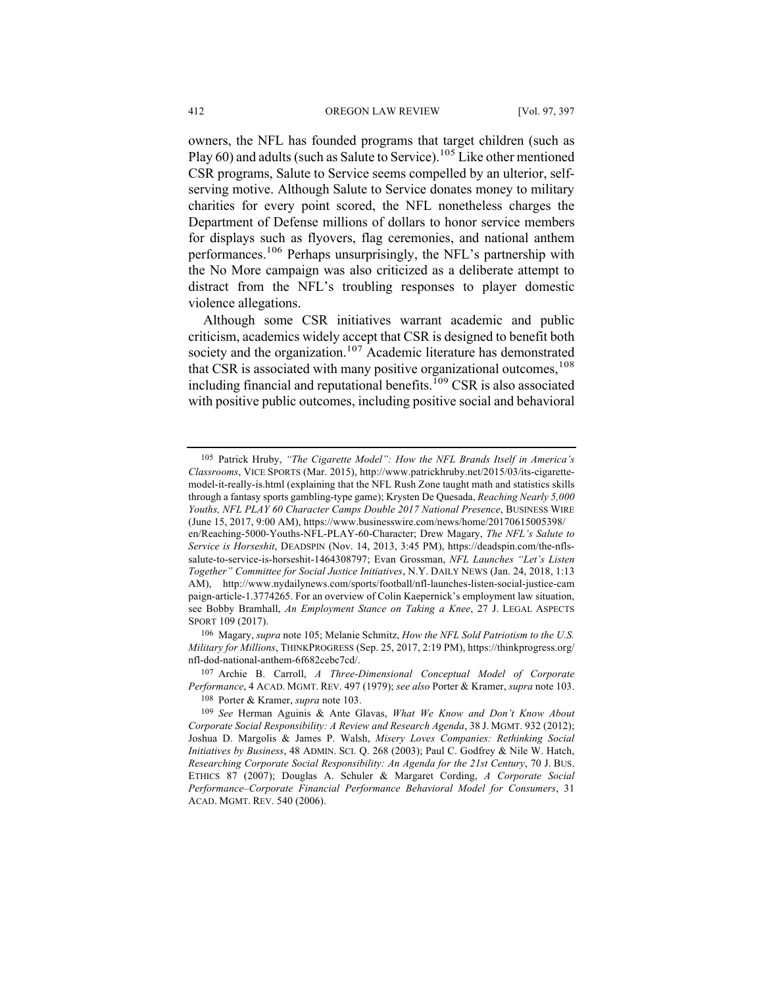owners, the NFL has founded programs that target children (such as Play  $60$ ) and adults (such as Salute to Service).<sup>105</sup> Like other mentioned CSR programs, Salute to Service seems compelled by an ulterior, selfserving motive. Although Salute to Service donates money to military charities for every point scored, the NFL nonetheless charges the Department of Defense millions of dollars to honor service members for displays such as flyovers, flag ceremonies, and national anthem performances.106 Perhaps unsurprisingly, the NFL's partnership with the No More campaign was also criticized as a deliberate attempt to distract from the NFL's troubling responses to player domestic violence allegations.

Although some CSR initiatives warrant academic and public criticism, academics widely accept that CSR is designed to benefit both society and the organization.<sup>107</sup> Academic literature has demonstrated that CSR is associated with many positive organizational outcomes,  $108$ including financial and reputational benefits.<sup>109</sup> CSR is also associated with positive public outcomes, including positive social and behavioral

<sup>105</sup> Patrick Hruby, *"The Cigarette Model": How the NFL Brands Itself in America's Classrooms*, VICE SPORTS (Mar. 2015), http://www.patrickhruby.net/2015/03/its-cigarettemodel-it-really-is.html (explaining that the NFL Rush Zone taught math and statistics skills through a fantasy sports gambling-type game); Krysten De Quesada, *Reaching Nearly 5,000 Youths, NFL PLAY 60 Character Camps Double 2017 National Presence*, BUSINESS WIRE (June 15, 2017, 9:00 AM), https://www.businesswire.com/news/home/20170615005398/

en/Reaching-5000-Youths-NFL-PLAY-60-Character; Drew Magary, *The NFL's Salute to Service is Horseshit*, DEADSPIN (Nov. 14, 2013, 3:45 PM), https://deadspin.com/the-nflssalute-to-service-is-horseshit-1464308797; Evan Grossman, *NFL Launches "Let's Listen Together" Committee for Social Justice Initiatives*, N.Y. DAILY NEWS (Jan. 24, 2018, 1:13 AM), http://www.nydailynews.com/sports/football/nfl-launches-listen-social-justice-cam paign-article-1.3774265. For an overview of Colin Kaepernick's employment law situation, see Bobby Bramhall, *An Employment Stance on Taking a Knee*, 27 J. LEGAL ASPECTS SPORT 109 (2017).

<sup>106</sup> Magary, *supra* note 105; Melanie Schmitz, *How the NFL Sold Patriotism to the U.S. Military for Millions*, THINKPROGRESS (Sep. 25, 2017, 2:19 PM), https://thinkprogress.org/ nfl-dod-national-anthem-6f682cebc7cd/.

<sup>107</sup> Archie B. Carroll, *A Three-Dimensional Conceptual Model of Corporate Performance*, 4 ACAD. MGMT. REV. 497 (1979); *see also* Porter & Kramer, *supra* note 103.

<sup>108</sup> Porter & Kramer, *supra* note 103.

<sup>109</sup> *See* Herman Aguinis & Ante Glavas, *What We Know and Don't Know About Corporate Social Responsibility: A Review and Research Agenda*, 38 J. MGMT. 932 (2012); Joshua D. Margolis & James P. Walsh, *Misery Loves Companies: Rethinking Social Initiatives by Business*, 48 ADMIN. SCI. Q. 268 (2003); Paul C. Godfrey & Nile W. Hatch, *Researching Corporate Social Responsibility: An Agenda for the 21st Century*, 70 J. BUS. ETHICS 87 (2007); Douglas A. Schuler & Margaret Cording, *A Corporate Social Performance–Corporate Financial Performance Behavioral Model for Consumers*, 31 ACAD. MGMT. REV. 540 (2006).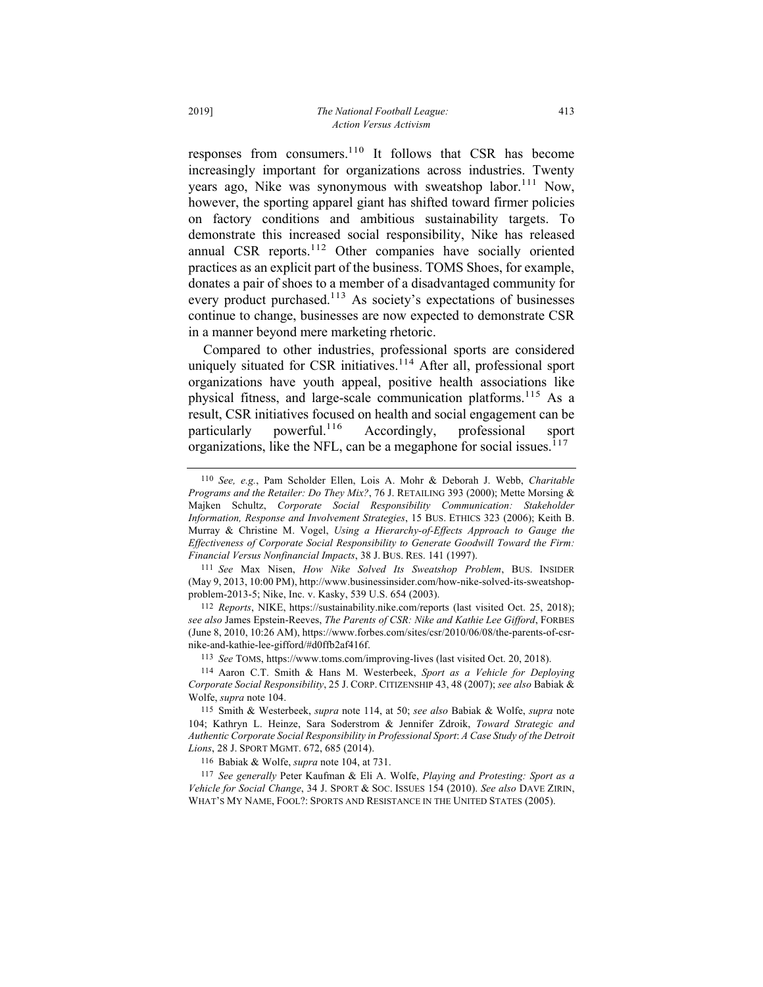responses from consumers.<sup>110</sup> It follows that CSR has become increasingly important for organizations across industries. Twenty years ago, Nike was synonymous with sweatshop labor.<sup>111</sup> Now, however, the sporting apparel giant has shifted toward firmer policies on factory conditions and ambitious sustainability targets. To demonstrate this increased social responsibility, Nike has released annual CSR reports. $112$  Other companies have socially oriented practices as an explicit part of the business. TOMS Shoes, for example, donates a pair of shoes to a member of a disadvantaged community for every product purchased.<sup>113</sup> As society's expectations of businesses continue to change, businesses are now expected to demonstrate CSR in a manner beyond mere marketing rhetoric.

Compared to other industries, professional sports are considered uniquely situated for CSR initiatives.<sup>114</sup> After all, professional sport organizations have youth appeal, positive health associations like physical fitness, and large-scale communication platforms.<sup>115</sup> As a result, CSR initiatives focused on health and social engagement can be particularly powerful.<sup>116</sup> Accordingly, professional sport organizations, like the NFL, can be a megaphone for social issues. $117$ 

112 *Reports*, NIKE, https://sustainability.nike.com/reports (last visited Oct. 25, 2018); *see also* James Epstein-Reeves, *The Parents of CSR: Nike and Kathie Lee Gifford*, FORBES (June 8, 2010, 10:26 AM), https://www.forbes.com/sites/csr/2010/06/08/the-parents-of-csrnike-and-kathie-lee-gifford/#d0ffb2af416f.

113 *See* TOMS, https://www.toms.com/improving-lives (last visited Oct. 20, 2018).

114 Aaron C.T. Smith & Hans M. Westerbeek, *Sport as a Vehicle for Deploying Corporate Social Responsibility*, 25 J. CORP. CITIZENSHIP 43, 48 (2007); *see also* Babiak & Wolfe, *supra* note 104.

115 Smith & Westerbeek, *supra* note 114, at 50; *see also* Babiak & Wolfe, *supra* note 104; Kathryn L. Heinze, Sara Soderstrom & Jennifer Zdroik, *Toward Strategic and Authentic Corporate Social Responsibility in Professional Sport*: *A Case Study of the Detroit Lions*, 28 J. SPORT MGMT. 672, 685 (2014).

116 Babiak & Wolfe, *supra* note 104, at 731.

117 *See generally* Peter Kaufman & Eli A. Wolfe, *Playing and Protesting: Sport as a Vehicle for Social Change*, 34 J. SPORT & SOC. ISSUES 154 (2010). *See also* DAVE ZIRIN, WHAT'S MY NAME, FOOL?: SPORTS AND RESISTANCE IN THE UNITED STATES (2005).

<sup>110</sup> *See, e.g.*, Pam Scholder Ellen, Lois A. Mohr & Deborah J. Webb, *Charitable Programs and the Retailer: Do They Mix?*, 76 J. RETAILING 393 (2000); Mette Morsing & Majken Schultz, *Corporate Social Responsibility Communication: Stakeholder Information, Response and Involvement Strategies*, 15 BUS. ETHICS 323 (2006); Keith B. Murray & Christine M. Vogel, *Using a Hierarchy-of-Effects Approach to Gauge the Effectiveness of Corporate Social Responsibility to Generate Goodwill Toward the Firm: Financial Versus Nonfinancial Impacts*, 38 J. BUS. RES. 141 (1997).

<sup>111</sup> *See* Max Nisen, *How Nike Solved Its Sweatshop Problem*, BUS. INSIDER (May 9, 2013, 10:00 PM), http://www.businessinsider.com/how-nike-solved-its-sweatshopproblem-2013-5; Nike, Inc. v. Kasky, 539 U.S. 654 (2003).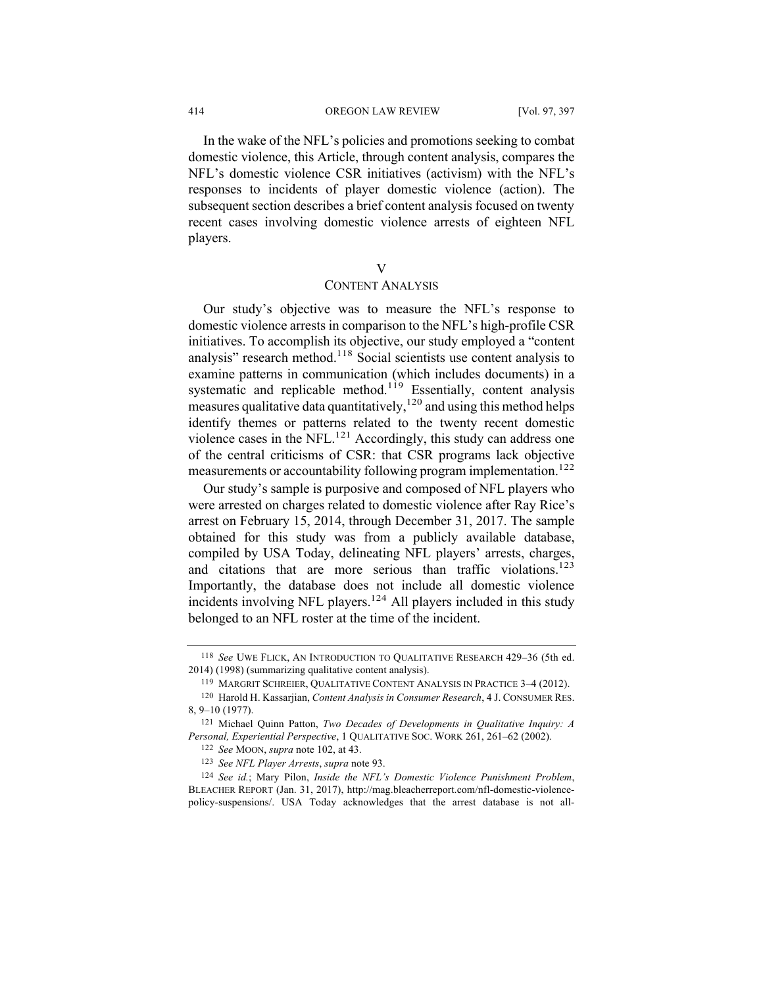In the wake of the NFL's policies and promotions seeking to combat domestic violence, this Article, through content analysis, compares the NFL's domestic violence CSR initiatives (activism) with the NFL's responses to incidents of player domestic violence (action). The subsequent section describes a brief content analysis focused on twenty recent cases involving domestic violence arrests of eighteen NFL players.

# V

# CONTENT ANALYSIS

Our study's objective was to measure the NFL's response to domestic violence arrests in comparison to the NFL's high-profile CSR initiatives. To accomplish its objective, our study employed a "content analysis" research method.118 Social scientists use content analysis to examine patterns in communication (which includes documents) in a systematic and replicable method.<sup>119</sup> Essentially, content analysis measures qualitative data quantitatively,  $120$  and using this method helps identify themes or patterns related to the twenty recent domestic violence cases in the NFL. $^{121}$  Accordingly, this study can address one of the central criticisms of CSR: that CSR programs lack objective measurements or accountability following program implementation.<sup>122</sup>

Our study's sample is purposive and composed of NFL players who were arrested on charges related to domestic violence after Ray Rice's arrest on February 15, 2014, through December 31, 2017. The sample obtained for this study was from a publicly available database, compiled by USA Today, delineating NFL players' arrests, charges, and citations that are more serious than traffic violations.<sup>123</sup> Importantly, the database does not include all domestic violence incidents involving NFL players.<sup>124</sup> All players included in this study belonged to an NFL roster at the time of the incident.

<sup>118</sup> *See* UWE FLICK, AN INTRODUCTION TO QUALITATIVE RESEARCH 429–36 (5th ed. 2014) (1998) (summarizing qualitative content analysis).

<sup>119</sup> MARGRIT SCHREIER, QUALITATIVE CONTENT ANALYSIS IN PRACTICE 3–4 (2012).

<sup>120</sup> Harold H. Kassarjian, *Content Analysis in Consumer Research*, 4 J. CONSUMER RES. 8, 9–10 (1977).

<sup>121</sup> Michael Quinn Patton, *Two Decades of Developments in Qualitative Inquiry: A Personal, Experiential Perspective*, 1 QUALITATIVE SOC. WORK 261, 261–62 (2002).

<sup>122</sup> *See* MOON, *supra* note 102, at 43.

<sup>123</sup> *See NFL Player Arrests*, *supra* note 93.

<sup>124</sup> *See id.*; Mary Pilon, *Inside the NFL's Domestic Violence Punishment Problem*, BLEACHER REPORT (Jan. 31, 2017), http://mag.bleacherreport.com/nfl-domestic-violencepolicy-suspensions/. USA Today acknowledges that the arrest database is not all-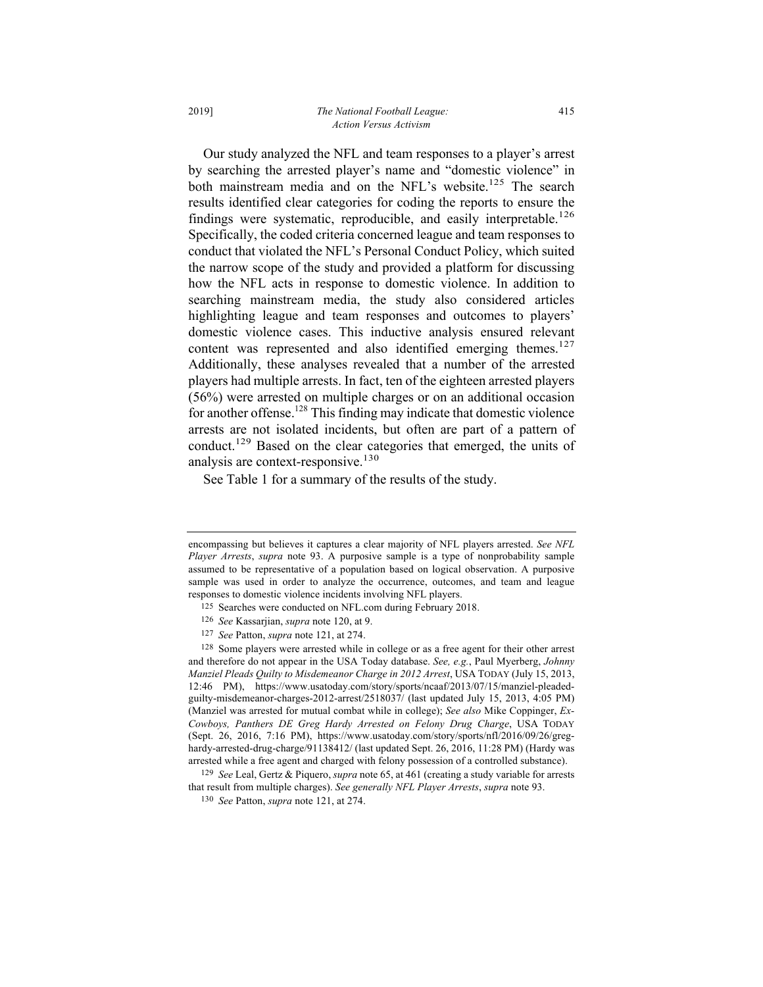Our study analyzed the NFL and team responses to a player's arrest by searching the arrested player's name and "domestic violence" in both mainstream media and on the NFL's website.<sup>125</sup> The search results identified clear categories for coding the reports to ensure the findings were systematic, reproducible, and easily interpretable.<sup>126</sup> Specifically, the coded criteria concerned league and team responses to conduct that violated the NFL's Personal Conduct Policy, which suited the narrow scope of the study and provided a platform for discussing how the NFL acts in response to domestic violence. In addition to searching mainstream media, the study also considered articles highlighting league and team responses and outcomes to players' domestic violence cases. This inductive analysis ensured relevant content was represented and also identified emerging themes.<sup>127</sup> Additionally, these analyses revealed that a number of the arrested players had multiple arrests. In fact, ten of the eighteen arrested players (56%) were arrested on multiple charges or on an additional occasion for another offense.<sup>128</sup> This finding may indicate that domestic violence arrests are not isolated incidents, but often are part of a pattern of conduct. <sup>129</sup> Based on the clear categories that emerged, the units of analysis are context-responsive.<sup>130</sup>

See Table 1 for a summary of the results of the study.

encompassing but believes it captures a clear majority of NFL players arrested. *See NFL Player Arrests*, *supra* note 93. A purposive sample is a type of nonprobability sample assumed to be representative of a population based on logical observation. A purposive sample was used in order to analyze the occurrence, outcomes, and team and league responses to domestic violence incidents involving NFL players.

<sup>125</sup> Searches were conducted on NFL.com during February 2018.

<sup>126</sup> *See* Kassarjian, *supra* note 120, at 9.

<sup>127</sup> *See* Patton, *supra* note 121, at 274.

<sup>128</sup> Some players were arrested while in college or as a free agent for their other arrest and therefore do not appear in the USA Today database. *See, e.g.*, Paul Myerberg, *Johnny Manziel Pleads Quilty to Misdemeanor Charge in 2012 Arrest*, USA TODAY (July 15, 2013, 12:46 PM), https://www.usatoday.com/story/sports/ncaaf/2013/07/15/manziel-pleadedguilty-misdemeanor-charges-2012-arrest/2518037/ (last updated July 15, 2013, 4:05 PM) (Manziel was arrested for mutual combat while in college); *See also* Mike Coppinger, *Ex-Cowboys, Panthers DE Greg Hardy Arrested on Felony Drug Charge*, USA TODAY (Sept. 26, 2016, 7:16 PM), https://www.usatoday.com/story/sports/nfl/2016/09/26/greghardy-arrested-drug-charge/91138412/ (last updated Sept. 26, 2016, 11:28 PM) (Hardy was arrested while a free agent and charged with felony possession of a controlled substance).

<sup>129</sup> *See* Leal, Gertz & Piquero, *supra* note 65, at 461 (creating a study variable for arrests that result from multiple charges). *See generally NFL Player Arrests*, *supra* note 93.

<sup>130</sup> *See* Patton, *supra* note 121, at 274.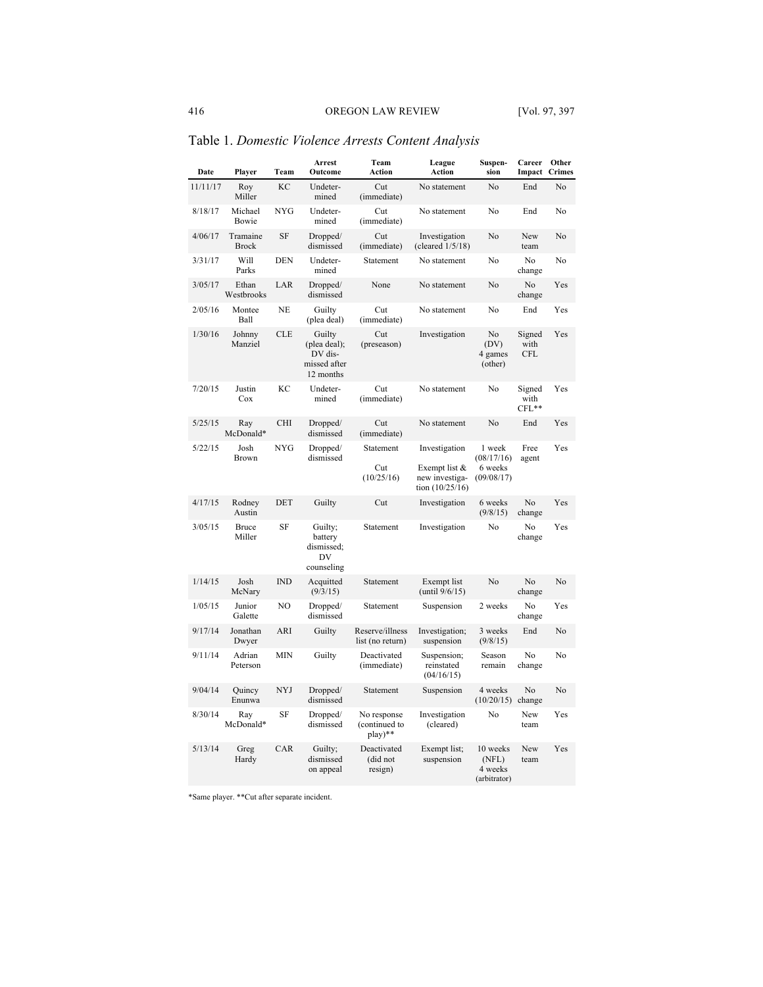| Date     | Player                   | Team       | Arrest<br>Outcome                                              | Team<br>Action                          | League<br>Action                                                      | Suspen-<br>sion                               | Career<br>Impact             | Other<br><b>Crimes</b> |
|----------|--------------------------|------------|----------------------------------------------------------------|-----------------------------------------|-----------------------------------------------------------------------|-----------------------------------------------|------------------------------|------------------------|
| 11/11/17 | Roy<br>Miller            | KC         | Undeter-<br>mined                                              | Cut<br>(immediate)                      | No statement                                                          | No                                            | End                          | No                     |
| 8/18/17  | Michael<br>Bowie         | <b>NYG</b> | Undeter-<br>mined                                              | Cut<br>(immediate)                      | No statement                                                          | No                                            | End                          | No                     |
| 4/06/17  | Tramaine<br><b>Brock</b> | SF         | Dropped/<br>dismissed                                          | Cut<br>(immediate)                      | Investigation<br>(cleared $1/5/18$ )                                  | No                                            | New<br>team                  | No                     |
| 3/31/17  | Will<br>Parks            | DEN        | Undeter-<br>mined                                              | Statement                               | No statement                                                          | No                                            | No<br>change                 | No                     |
| 3/05/17  | Ethan<br>Westbrooks      | LAR        | Dropped/<br>dismissed                                          | None                                    | No statement                                                          | No                                            | No<br>change                 | Yes                    |
| 2/05/16  | Montee<br>Ball           | <b>NE</b>  | Guilty<br>(plea deal)                                          | Cut<br>(immediate)                      | No statement                                                          | No                                            | End                          | Yes                    |
| 1/30/16  | Johnny<br>Manziel        | <b>CLE</b> | Guilty<br>(plea deal);<br>DV dis-<br>missed after<br>12 months | Cut<br>(preseason)                      | Investigation                                                         | No<br>(DV)<br>4 games<br>(other)              | Signed<br>with<br><b>CFL</b> | Yes                    |
| 7/20/15  | Justin<br>Cox            | KС         | Undeter-<br>mined                                              | Cut<br>(immediate)                      | No statement                                                          | No                                            | Signed<br>with<br>$CFL**$    | Yes                    |
| 5/25/15  | Ray<br>McDonald*         | <b>CHI</b> | Dropped/<br>dismissed                                          | Cut<br>(immediate)                      | No statement                                                          | No                                            | End                          | Yes                    |
| 5/22/15  | Josh<br>Brown            | <b>NYG</b> | Dropped/<br>dismissed                                          | Statement<br>Cut<br>(10/25/16)          | Investigation<br>Exempt list &<br>new investiga-<br>tion $(10/25/16)$ | 1 week<br>(08/17/16)<br>6 weeks<br>(09/08/17) | Free<br>agent                | Yes                    |
| 4/17/15  | Rodnev<br>Austin         | DET        | Guilty                                                         | Cut                                     | Investigation                                                         | 6 weeks<br>(9/8/15)                           | No<br>change                 | Yes                    |
| 3/05/15  | Bruce<br>Miller          | SF         | Guilty;<br>battery<br>dismissed;<br>DV<br>counseling           | Statement                               | Investigation                                                         | No                                            | No<br>change                 | Yes                    |
| 1/14/15  | Josh<br>McNary           | IND        | Acquitted<br>(9/3/15)                                          | Statement                               | Exempt list<br>(until $9/6/15$ )                                      | No                                            | N <sub>o</sub><br>change     | No                     |
| 1/05/15  | Junior<br>Galette        | NO         | Dropped/<br>dismissed                                          | Statement                               | Suspension                                                            | 2 weeks                                       | No<br>change                 | Yes                    |
| 9/17/14  | Jonathan<br>Dwyer        | ARI        | Guilty                                                         | Reserve/illness<br>list (no return)     | Investigation;<br>suspension                                          | 3 weeks<br>(9/8/15)                           | End                          | No                     |
| 9/11/14  | Adrian<br>Peterson       | <b>MIN</b> | Guilty                                                         | Deactivated<br>(immediate)              | Suspension;<br>reinstated<br>(04/16/15)                               | Season<br>remain                              | No<br>change                 | No                     |
| 9/04/14  | Quincy<br>Enunwa         | <b>NYJ</b> | Dropped/<br>dismissed                                          | Statement                               | Suspension                                                            | 4 weeks<br>(10/20/15)                         | No<br>change                 | No                     |
| 8/30/14  | Ray<br>McDonald*         | SF         | Dropped/<br>dismissed                                          | No response<br>(continued to<br>play)** | Investigation<br>(cleared)                                            | No                                            | New<br>team                  | Yes                    |
| 5/13/14  | Greg<br>Hardy            | CAR        | Guilty;<br>dismissed<br>on appeal                              | Deactivated<br>(did not<br>resign)      | Exempt list;<br>suspension                                            | 10 weeks<br>(NFL)<br>4 weeks<br>(arbitrator)  | New<br>team                  | Yes                    |

Table 1. *Domestic Violence Arrests Content Analysis*

\*Same player. \*\*Cut after separate incident.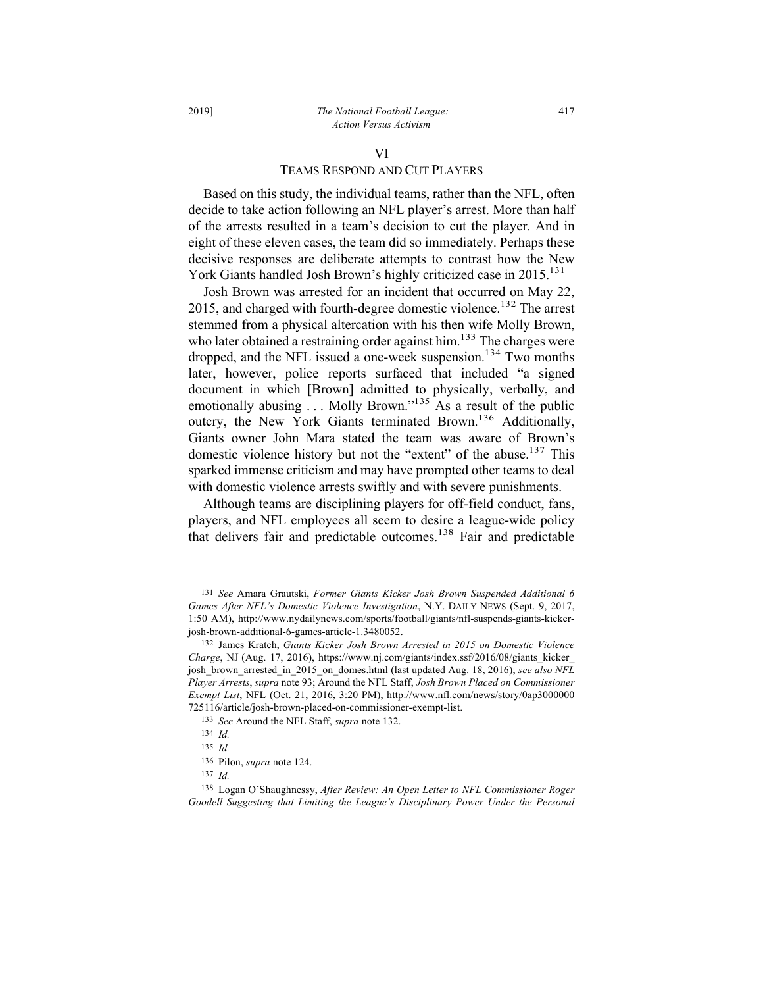#### 2019] *The National Football League:* 417 *Action Versus Activism*

# VI TEAMS RESPOND AND CUT PLAYERS

Based on this study, the individual teams, rather than the NFL, often decide to take action following an NFL player's arrest. More than half of the arrests resulted in a team's decision to cut the player. And in eight of these eleven cases, the team did so immediately. Perhaps these decisive responses are deliberate attempts to contrast how the New York Giants handled Josh Brown's highly criticized case in 2015.<sup>131</sup>

Josh Brown was arrested for an incident that occurred on May 22, 2015, and charged with fourth-degree domestic violence.<sup>132</sup> The arrest stemmed from a physical altercation with his then wife Molly Brown, who later obtained a restraining order against him.<sup>133</sup> The charges were dropped, and the NFL issued a one-week suspension.<sup>134</sup> Two months later, however, police reports surfaced that included "a signed document in which [Brown] admitted to physically, verbally, and emotionally abusing  $\ldots$  Molly Brown."<sup>135</sup> As a result of the public outcry, the New York Giants terminated Brown.<sup>136</sup> Additionally, Giants owner John Mara stated the team was aware of Brown's domestic violence history but not the "extent" of the abuse.<sup>137</sup> This sparked immense criticism and may have prompted other teams to deal with domestic violence arrests swiftly and with severe punishments.

Although teams are disciplining players for off-field conduct, fans, players, and NFL employees all seem to desire a league-wide policy that delivers fair and predictable outcomes.<sup>138</sup> Fair and predictable

137 *Id.*

<sup>131</sup> *See* Amara Grautski, *Former Giants Kicker Josh Brown Suspended Additional 6 Games After NFL's Domestic Violence Investigation*, N.Y. DAILY NEWS (Sept. 9, 2017, 1:50 AM), http://www.nydailynews.com/sports/football/giants/nfl-suspends-giants-kickerjosh-brown-additional-6-games-article-1.3480052.

<sup>132</sup> James Kratch, *Giants Kicker Josh Brown Arrested in 2015 on Domestic Violence Charge*, NJ (Aug. 17, 2016), https://www.nj.com/giants/index.ssf/2016/08/giants\_kicker\_ josh\_brown\_arrested\_in\_2015\_on\_domes.html (last updated Aug. 18, 2016); *see also NFL Player Arrests*, *supra* note 93; Around the NFL Staff, *Josh Brown Placed on Commissioner Exempt List*, NFL (Oct. 21, 2016, 3:20 PM), http://www.nfl.com/news/story/0ap3000000 725116/article/josh-brown-placed-on-commissioner-exempt-list.

<sup>133</sup> *See* Around the NFL Staff, *supra* note 132.

<sup>134</sup> *Id.*

<sup>135</sup> *Id.*

<sup>136</sup> Pilon, *supra* note 124.

<sup>138</sup> Logan O'Shaughnessy, *After Review: An Open Letter to NFL Commissioner Roger Goodell Suggesting that Limiting the League's Disciplinary Power Under the Personal*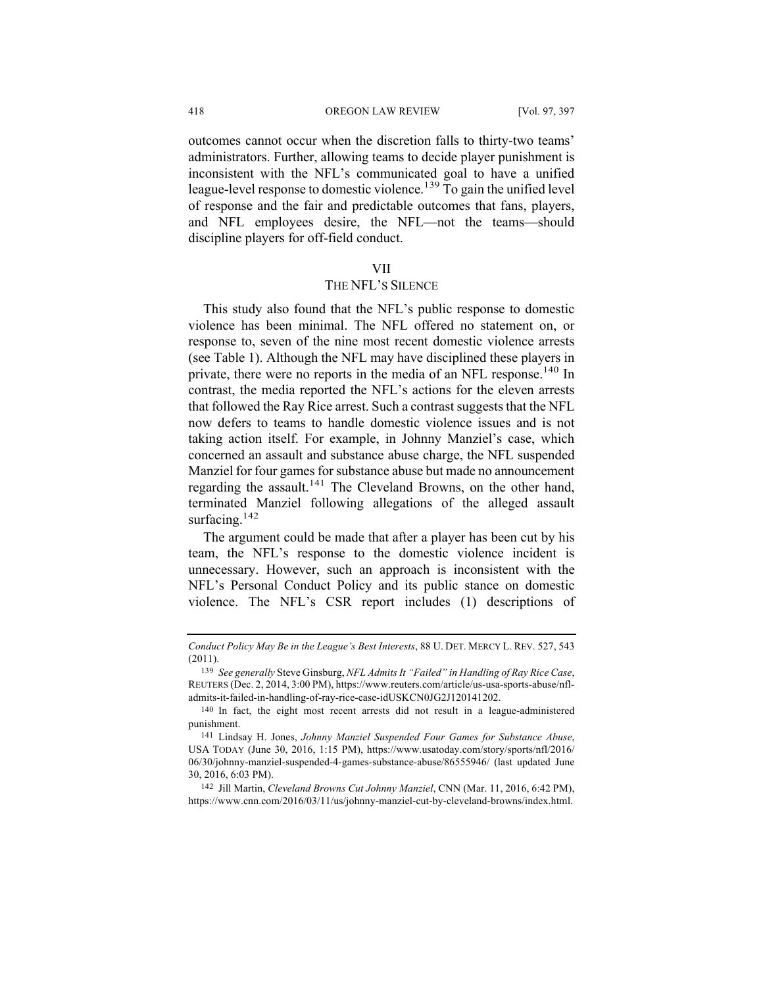outcomes cannot occur when the discretion falls to thirty-two teams' administrators. Further, allowing teams to decide player punishment is inconsistent with the NFL's communicated goal to have a unified league-level response to domestic violence.<sup>139</sup> To gain the unified level of response and the fair and predictable outcomes that fans, players, and NFL employees desire, the NFL—not the teams—should discipline players for off-field conduct.

#### VII

## THE NFL'S SILENCE

This study also found that the NFL's public response to domestic violence has been minimal. The NFL offered no statement on, or response to, seven of the nine most recent domestic violence arrests (see Table 1). Although the NFL may have disciplined these players in private, there were no reports in the media of an NFL response.<sup>140</sup> In contrast, the media reported the NFL's actions for the eleven arrests that followed the Ray Rice arrest. Such a contrast suggests that the NFL now defers to teams to handle domestic violence issues and is not taking action itself. For example, in Johnny Manziel's case, which concerned an assault and substance abuse charge, the NFL suspended Manziel for four games for substance abuse but made no announcement regarding the assault.<sup>141</sup> The Cleveland Browns, on the other hand, terminated Manziel following allegations of the alleged assault surfacing.<sup>142</sup>

The argument could be made that after a player has been cut by his team, the NFL's response to the domestic violence incident is unnecessary. However, such an approach is inconsistent with the NFL's Personal Conduct Policy and its public stance on domestic violence. The NFL's CSR report includes (1) descriptions of

142 Jill Martin, *Cleveland Browns Cut Johnny Manziel*, CNN (Mar. 11, 2016, 6:42 PM), https://www.cnn.com/2016/03/11/us/johnny-manziel-cut-by-cleveland-browns/index.html.

*Conduct Policy May Be in the League's Best Interests*, 88 U. DET. MERCY L. REV. 527, 543 (2011).

<sup>139</sup> *See generally* Steve Ginsburg, *NFL Admits It "Failed" in Handling of Ray Rice Case*, REUTERS (Dec. 2, 2014, 3:00 PM), https://www.reuters.com/article/us-usa-sports-abuse/nfladmits-it-failed-in-handling-of-ray-rice-case-idUSKCN0JG2J120141202.

<sup>140</sup> In fact, the eight most recent arrests did not result in a league-administered punishment.

<sup>141</sup> Lindsay H. Jones, *Johnny Manziel Suspended Four Games for Substance Abuse*, USA TODAY (June 30, 2016, 1:15 PM), https://www.usatoday.com/story/sports/nfl/2016/ 06/30/johnny-manziel-suspended-4-games-substance-abuse/86555946/ (last updated June 30, 2016, 6:03 PM).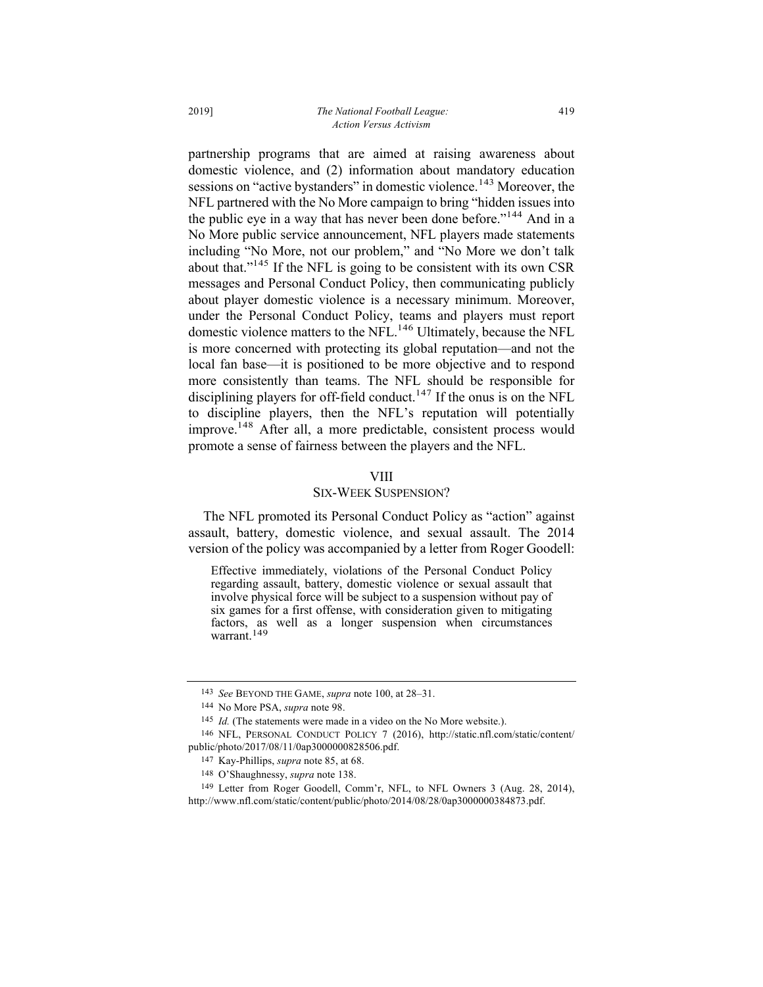partnership programs that are aimed at raising awareness about domestic violence, and (2) information about mandatory education sessions on "active bystanders" in domestic violence.<sup>143</sup> Moreover, the NFL partnered with the No More campaign to bring "hidden issues into the public eye in a way that has never been done before."<sup>144</sup> And in a No More public service announcement, NFL players made statements including "No More, not our problem," and "No More we don't talk about that."<sup>145</sup> If the NFL is going to be consistent with its own CSR messages and Personal Conduct Policy, then communicating publicly about player domestic violence is a necessary minimum. Moreover, under the Personal Conduct Policy, teams and players must report domestic violence matters to the NFL.<sup>146</sup> Ultimately, because the NFL is more concerned with protecting its global reputation—and not the local fan base—it is positioned to be more objective and to respond more consistently than teams. The NFL should be responsible for disciplining players for off-field conduct.<sup>147</sup> If the onus is on the NFL to discipline players, then the NFL's reputation will potentially improve.148 After all, a more predictable, consistent process would promote a sense of fairness between the players and the NFL.

#### VIII

# SIX-WEEK SUSPENSION?

The NFL promoted its Personal Conduct Policy as "action" against assault, battery, domestic violence, and sexual assault. The 2014 version of the policy was accompanied by a letter from Roger Goodell:

Effective immediately, violations of the Personal Conduct Policy regarding assault, battery, domestic violence or sexual assault that involve physical force will be subject to a suspension without pay of six games for a first offense, with consideration given to mitigating factors, as well as a longer suspension when circumstances warrant.<sup>149</sup>

<sup>143</sup> *See* BEYOND THE GAME, *supra* note 100, at 28–31.

<sup>144</sup> No More PSA, *supra* note 98.

<sup>145</sup> *Id.* (The statements were made in a video on the No More website.).

<sup>146</sup> NFL, PERSONAL CONDUCT POLICY 7 (2016), http://static.nfl.com/static/content/ public/photo/2017/08/11/0ap3000000828506.pdf.

<sup>147</sup> Kay-Phillips, *supra* note 85, at 68.

<sup>148</sup> O'Shaughnessy, *supra* note 138.

<sup>149</sup> Letter from Roger Goodell, Comm'r, NFL, to NFL Owners 3 (Aug. 28, 2014), http://www.nfl.com/static/content/public/photo/2014/08/28/0ap3000000384873.pdf.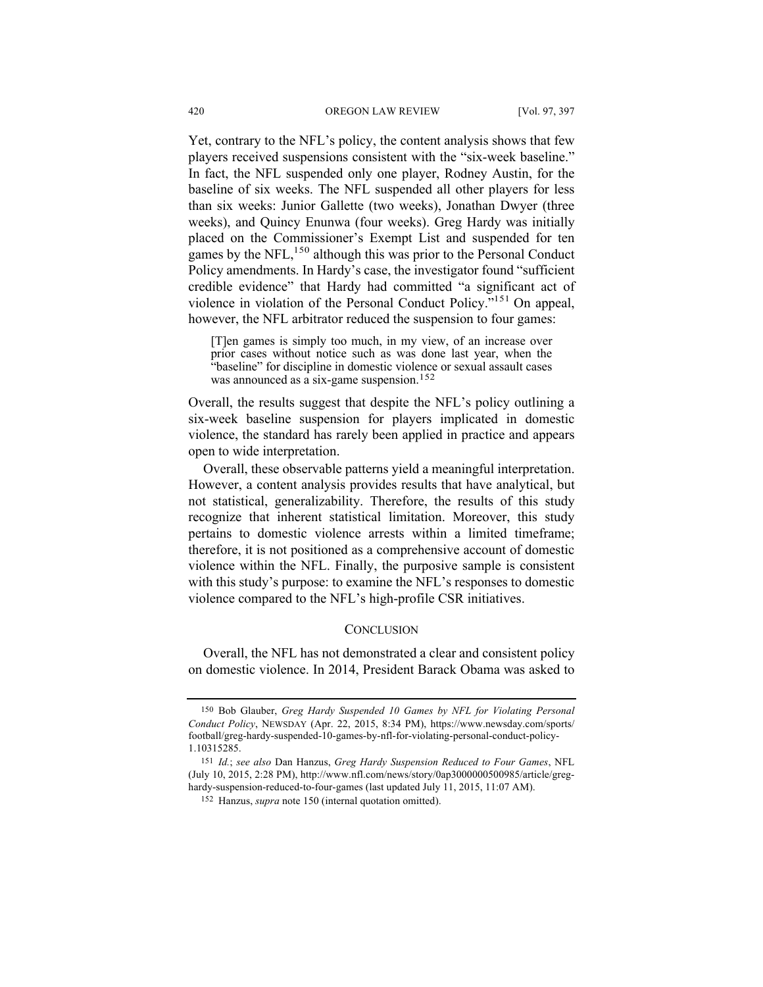Yet, contrary to the NFL's policy, the content analysis shows that few players received suspensions consistent with the "six-week baseline." In fact, the NFL suspended only one player, Rodney Austin, for the baseline of six weeks. The NFL suspended all other players for less than six weeks: Junior Gallette (two weeks), Jonathan Dwyer (three weeks), and Quincy Enunwa (four weeks). Greg Hardy was initially placed on the Commissioner's Exempt List and suspended for ten games by the NFL,<sup>150</sup> although this was prior to the Personal Conduct Policy amendments. In Hardy's case, the investigator found "sufficient credible evidence" that Hardy had committed "a significant act of violence in violation of the Personal Conduct Policy."151 On appeal, however, the NFL arbitrator reduced the suspension to four games:

[T]en games is simply too much, in my view, of an increase over prior cases without notice such as was done last year, when the "baseline" for discipline in domestic violence or sexual assault cases was announced as a six-game suspension.<sup>152</sup>

Overall, the results suggest that despite the NFL's policy outlining a six-week baseline suspension for players implicated in domestic violence, the standard has rarely been applied in practice and appears open to wide interpretation.

Overall, these observable patterns yield a meaningful interpretation. However, a content analysis provides results that have analytical, but not statistical, generalizability. Therefore, the results of this study recognize that inherent statistical limitation. Moreover, this study pertains to domestic violence arrests within a limited timeframe; therefore, it is not positioned as a comprehensive account of domestic violence within the NFL. Finally, the purposive sample is consistent with this study's purpose: to examine the NFL's responses to domestic violence compared to the NFL's high-profile CSR initiatives.

# **CONCLUSION**

Overall, the NFL has not demonstrated a clear and consistent policy on domestic violence. In 2014, President Barack Obama was asked to

<sup>150</sup> Bob Glauber, *Greg Hardy Suspended 10 Games by NFL for Violating Personal Conduct Policy*, NEWSDAY (Apr. 22, 2015, 8:34 PM), https://www.newsday.com/sports/ football/greg-hardy-suspended-10-games-by-nfl-for-violating-personal-conduct-policy-1.10315285.

<sup>151</sup> *Id.*; *see also* Dan Hanzus, *Greg Hardy Suspension Reduced to Four Games*, NFL (July 10, 2015, 2:28 PM), http://www.nfl.com/news/story/0ap3000000500985/article/greghardy-suspension-reduced-to-four-games (last updated July 11, 2015, 11:07 AM).

<sup>152</sup> Hanzus, *supra* note 150 (internal quotation omitted).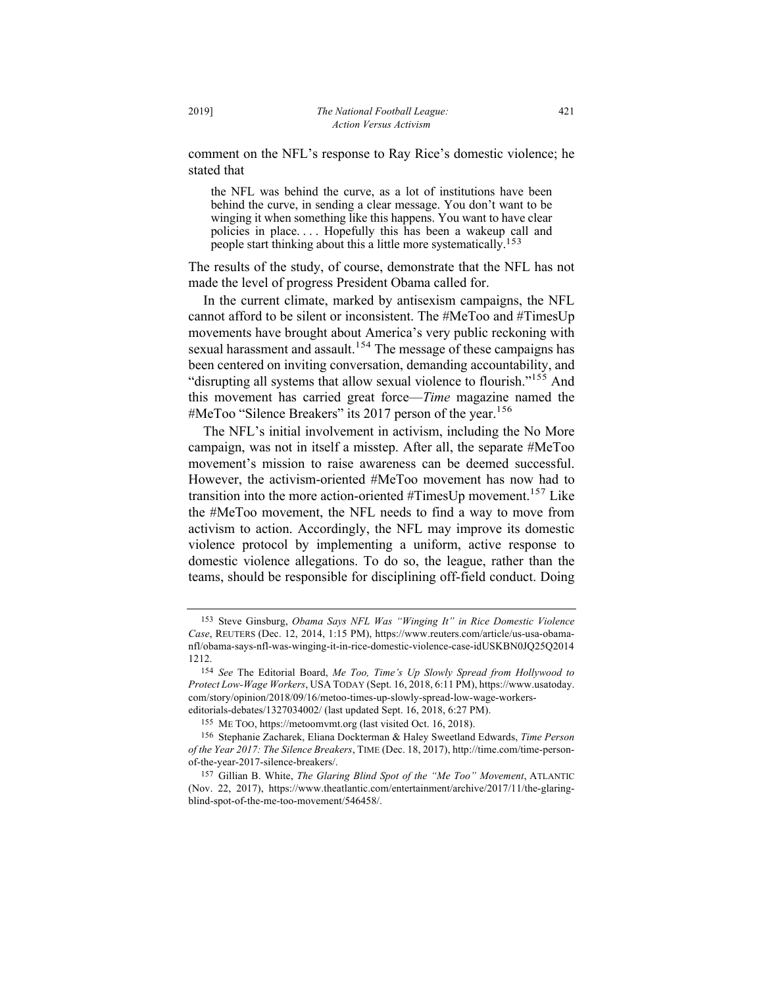comment on the NFL's response to Ray Rice's domestic violence; he stated that

the NFL was behind the curve, as a lot of institutions have been behind the curve, in sending a clear message. You don't want to be winging it when something like this happens. You want to have clear policies in place. . . . Hopefully this has been a wakeup call and people start thinking about this a little more systematically.153

The results of the study, of course, demonstrate that the NFL has not made the level of progress President Obama called for.

In the current climate, marked by antisexism campaigns, the NFL cannot afford to be silent or inconsistent. The #MeToo and #TimesUp movements have brought about America's very public reckoning with sexual harassment and assault.<sup>154</sup> The message of these campaigns has been centered on inviting conversation, demanding accountability, and "disrupting all systems that allow sexual violence to flourish."155 And this movement has carried great force—*Time* magazine named the #MeToo "Silence Breakers" its 2017 person of the year.<sup>156</sup>

The NFL's initial involvement in activism, including the No More campaign, was not in itself a misstep. After all, the separate #MeToo movement's mission to raise awareness can be deemed successful. However, the activism-oriented #MeToo movement has now had to transition into the more action-oriented  $\#TimesUp$  movement.<sup>157</sup> Like the #MeToo movement, the NFL needs to find a way to move from activism to action. Accordingly, the NFL may improve its domestic violence protocol by implementing a uniform, active response to domestic violence allegations. To do so, the league, rather than the teams, should be responsible for disciplining off-field conduct. Doing

<sup>153</sup> Steve Ginsburg, *Obama Says NFL Was "Winging It" in Rice Domestic Violence Case*, REUTERS (Dec. 12, 2014, 1:15 PM), https://www.reuters.com/article/us-usa-obamanfl/obama-says-nfl-was-winging-it-in-rice-domestic-violence-case-idUSKBN0JQ25Q2014 1212.

<sup>154</sup> *See* The Editorial Board, *Me Too, Time's Up Slowly Spread from Hollywood to Protect Low-Wage Workers*, USA TODAY (Sept. 16, 2018, 6:11 PM), https://www.usatoday. com/story/opinion/2018/09/16/metoo-times-up-slowly-spread-low-wage-workerseditorials-debates/1327034002/ (last updated Sept. 16, 2018, 6:27 PM).

<sup>155</sup> ME TOO, https://metoomvmt.org (last visited Oct. 16, 2018).

<sup>156</sup> Stephanie Zacharek, Eliana Dockterman & Haley Sweetland Edwards, *Time Person of the Year 2017: The Silence Breakers*, TIME (Dec. 18, 2017), http://time.com/time-personof-the-year-2017-silence-breakers/.

<sup>157</sup> Gillian B. White, *The Glaring Blind Spot of the "Me Too" Movement*, ATLANTIC (Nov. 22, 2017), https://www.theatlantic.com/entertainment/archive/2017/11/the-glaringblind-spot-of-the-me-too-movement/546458/.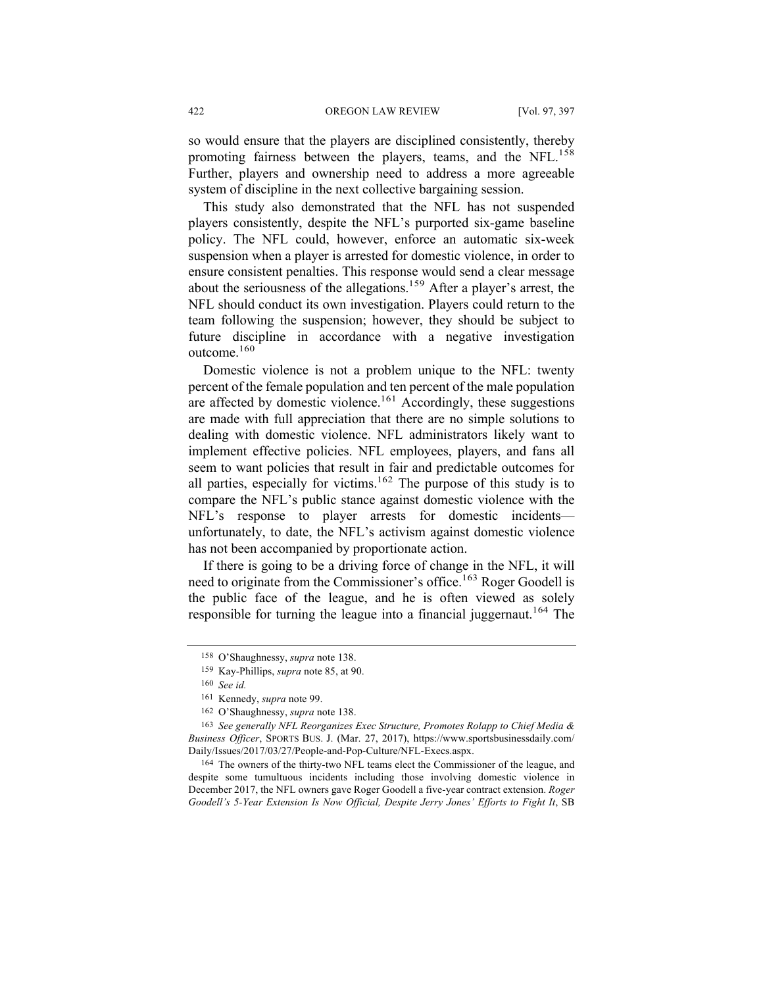so would ensure that the players are disciplined consistently, thereby promoting fairness between the players, teams, and the NFL.<sup>158</sup> Further, players and ownership need to address a more agreeable system of discipline in the next collective bargaining session.

This study also demonstrated that the NFL has not suspended players consistently, despite the NFL's purported six-game baseline policy. The NFL could, however, enforce an automatic six-week suspension when a player is arrested for domestic violence, in order to ensure consistent penalties. This response would send a clear message about the seriousness of the allegations.<sup>159</sup> After a player's arrest, the NFL should conduct its own investigation. Players could return to the team following the suspension; however, they should be subject to future discipline in accordance with a negative investigation outcome.160

Domestic violence is not a problem unique to the NFL: twenty percent of the female population and ten percent of the male population are affected by domestic violence.<sup>161</sup> Accordingly, these suggestions are made with full appreciation that there are no simple solutions to dealing with domestic violence. NFL administrators likely want to implement effective policies. NFL employees, players, and fans all seem to want policies that result in fair and predictable outcomes for all parties, especially for victims.<sup>162</sup> The purpose of this study is to compare the NFL's public stance against domestic violence with the NFL's response to player arrests for domestic incidents unfortunately, to date, the NFL's activism against domestic violence has not been accompanied by proportionate action.

If there is going to be a driving force of change in the NFL, it will need to originate from the Commissioner's office.<sup>163</sup> Roger Goodell is the public face of the league, and he is often viewed as solely responsible for turning the league into a financial juggernaut.<sup>164</sup> The

<sup>158</sup> O'Shaughnessy, *supra* note 138.

<sup>159</sup> Kay-Phillips, *supra* note 85, at 90.

<sup>160</sup> *See id.*

<sup>161</sup> Kennedy, *supra* note 99.

<sup>162</sup> O'Shaughnessy, *supra* note 138.

<sup>163</sup> *See generally NFL Reorganizes Exec Structure, Promotes Rolapp to Chief Media & Business Officer*, SPORTS BUS. J. (Mar. 27, 2017), https://www.sportsbusinessdaily.com/ Daily/Issues/2017/03/27/People-and-Pop-Culture/NFL-Execs.aspx.

<sup>164</sup> The owners of the thirty-two NFL teams elect the Commissioner of the league, and despite some tumultuous incidents including those involving domestic violence in December 2017, the NFL owners gave Roger Goodell a five-year contract extension. *Roger Goodell's 5-Year Extension Is Now Official, Despite Jerry Jones' Efforts to Fight It*, SB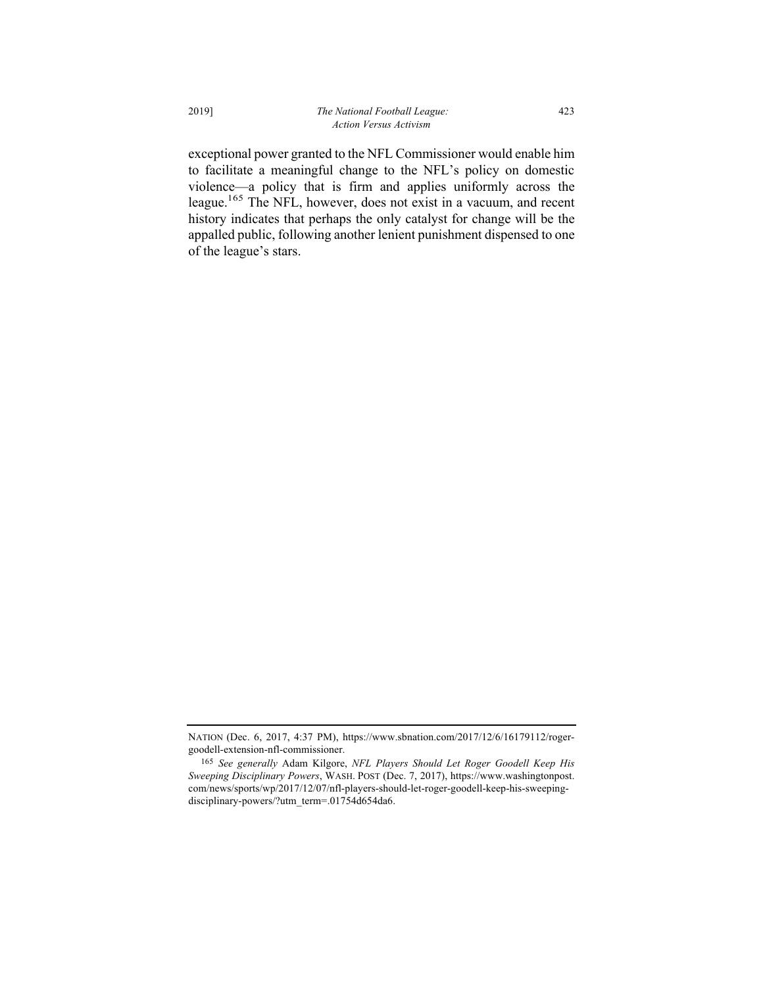exceptional power granted to the NFL Commissioner would enable him to facilitate a meaningful change to the NFL's policy on domestic violence—a policy that is firm and applies uniformly across the league.<sup>165</sup> The NFL, however, does not exist in a vacuum, and recent history indicates that perhaps the only catalyst for change will be the appalled public, following another lenient punishment dispensed to one of the league's stars.

NATION (Dec. 6, 2017, 4:37 PM), https://www.sbnation.com/2017/12/6/16179112/rogergoodell-extension-nfl-commissioner.

<sup>165</sup> *See generally* Adam Kilgore, *NFL Players Should Let Roger Goodell Keep His Sweeping Disciplinary Powers*, WASH. POST (Dec. 7, 2017), https://www.washingtonpost. com/news/sports/wp/2017/12/07/nfl-players-should-let-roger-goodell-keep-his-sweepingdisciplinary-powers/?utm\_term=.01754d654da6.